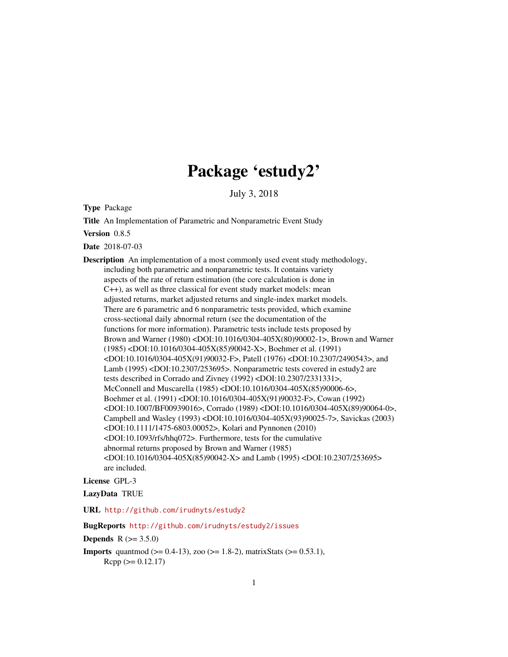# Package 'estudy2'

July 3, 2018

<span id="page-0-0"></span>Type Package

Title An Implementation of Parametric and Nonparametric Event Study

Version 0.8.5

Date 2018-07-03

Description An implementation of a most commonly used event study methodology, including both parametric and nonparametric tests. It contains variety aspects of the rate of return estimation (the core calculation is done in C++), as well as three classical for event study market models: mean adjusted returns, market adjusted returns and single-index market models. There are 6 parametric and 6 nonparametric tests provided, which examine cross-sectional daily abnormal return (see the documentation of the functions for more information). Parametric tests include tests proposed by Brown and Warner (1980) <DOI:10.1016/0304-405X(80)90002-1>, Brown and Warner (1985) <DOI:10.1016/0304-405X(85)90042-X>, Boehmer et al. (1991) <DOI:10.1016/0304-405X(91)90032-F>, Patell (1976) <DOI:10.2307/2490543>, and Lamb (1995) <DOI:10.2307/253695>. Nonparametric tests covered in estudy2 are tests described in Corrado and Zivney (1992) <DOI:10.2307/2331331>, McConnell and Muscarella (1985) <DOI:10.1016/0304-405X(85)90006-6>, Boehmer et al. (1991) <DOI:10.1016/0304-405X(91)90032-F>, Cowan (1992) <DOI:10.1007/BF00939016>, Corrado (1989) <DOI:10.1016/0304-405X(89)90064-0>, Campbell and Wasley (1993) <DOI:10.1016/0304-405X(93)90025-7>, Savickas (2003) <DOI:10.1111/1475-6803.00052>, Kolari and Pynnonen (2010) <DOI:10.1093/rfs/hhq072>. Furthermore, tests for the cumulative abnormal returns proposed by Brown and Warner (1985) <DOI:10.1016/0304-405X(85)90042-X> and Lamb (1995) <DOI:10.2307/253695> are included.

License GPL-3

LazyData TRUE

URL <http://github.com/irudnyts/estudy2>

#### BugReports <http://github.com/irudnyts/estudy2/issues>

**Depends**  $R (= 3.5.0)$ 

**Imports** quantmod ( $>= 0.4-13$ ), zoo ( $>= 1.8-2$ ), matrixStats ( $>= 0.53.1$ ),  $Rcpp (> = 0.12.17)$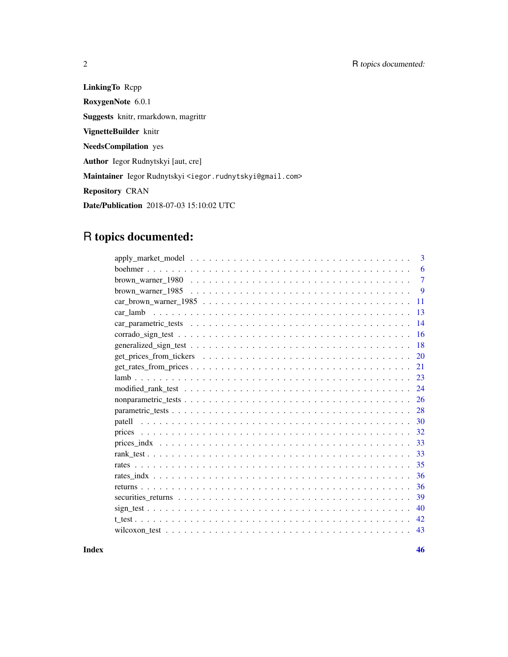LinkingTo Rcpp RoxygenNote 6.0.1 Suggests knitr, rmarkdown, magrittr VignetteBuilder knitr NeedsCompilation yes Author Iegor Rudnytskyi [aut, cre] Maintainer Iegor Rudnytskyi <iegor.rudnytskyi@gmail.com> Repository CRAN Date/Publication 2018-07-03 15:10:02 UTC

## R topics documented:

|                                                                                                                     | 3              |
|---------------------------------------------------------------------------------------------------------------------|----------------|
|                                                                                                                     | 6              |
|                                                                                                                     | $\overline{7}$ |
|                                                                                                                     | 9              |
|                                                                                                                     | 11             |
| car lamb                                                                                                            | 13             |
|                                                                                                                     | 14             |
| $corrado_sign_test \dots \dots \dots \dots \dots \dots \dots \dots \dots \dots \dots \dots \dots \dots \dots \dots$ | 16             |
|                                                                                                                     | 18             |
|                                                                                                                     | 20             |
|                                                                                                                     | 21             |
|                                                                                                                     | 23             |
|                                                                                                                     | 24             |
|                                                                                                                     | 26             |
|                                                                                                                     | 28             |
|                                                                                                                     | 30             |
|                                                                                                                     | 32             |
|                                                                                                                     | 33             |
|                                                                                                                     | 33             |
|                                                                                                                     | 35             |
|                                                                                                                     | 36             |
|                                                                                                                     | 36             |
|                                                                                                                     | 39             |
|                                                                                                                     | 40             |
|                                                                                                                     | 42.            |
|                                                                                                                     | 43             |
|                                                                                                                     |                |

**Index a** set of the set of the set of the set of the set of the set of the set of the set of the set of the set of the set of the set of the set of the set of the set of the set of the set of the set of the set of the s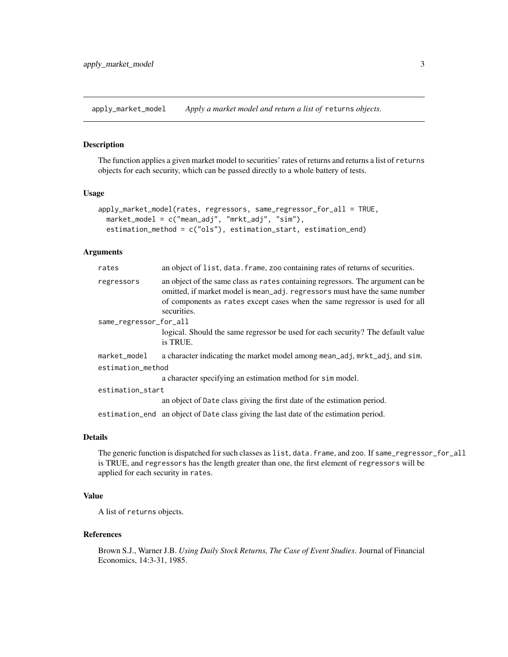<span id="page-2-1"></span><span id="page-2-0"></span>apply\_market\_model *Apply a market model and return a list of* returns *objects.*

#### Description

The function applies a given market model to securities' rates of returns and returns a list of returns objects for each security, which can be passed directly to a whole battery of tests.

#### Usage

```
apply_market_model(rates, regressors, same_regressor_for_all = TRUE,
 market_model = c("mean_adj", "mrkt_adj", "sim"),
 estimation_method = c("ols"), estimation_start, estimation_end)
```
#### Arguments

| rates                  | an object of list, data. frame, zoo containing rates of returns of securities.                                                                                                                                                                              |  |
|------------------------|-------------------------------------------------------------------------------------------------------------------------------------------------------------------------------------------------------------------------------------------------------------|--|
| regressors             | an object of the same class as rates containing regressors. The argument can be<br>omitted, if market model is mean_adj. regressors must have the same number<br>of components as rates except cases when the same regressor is used for all<br>securities. |  |
| same_regressor_for_all |                                                                                                                                                                                                                                                             |  |
|                        | logical. Should the same regressor be used for each security? The default value<br>is TRUE.                                                                                                                                                                 |  |
| market_model           | a character indicating the market model among mean_adj, mrkt_adj, and sim.                                                                                                                                                                                  |  |
| estimation_method      |                                                                                                                                                                                                                                                             |  |
|                        | a character specifying an estimation method for simmodel.                                                                                                                                                                                                   |  |
| estimation_start       |                                                                                                                                                                                                                                                             |  |
|                        | an object of Date class giving the first date of the estimation period.                                                                                                                                                                                     |  |
|                        | estimation end an object of Date class giving the last date of the estimation period.                                                                                                                                                                       |  |

#### Details

The generic function is dispatched for such classes as list, data.frame, and zoo. If same\_regressor\_for\_all is TRUE, and regressors has the length greater than one, the first element of regressors will be applied for each security in rates.

#### Value

A list of returns objects.

#### References

Brown S.J., Warner J.B. *Using Daily Stock Returns, The Case of Event Studies*. Journal of Financial Economics, 14:3-31, 1985.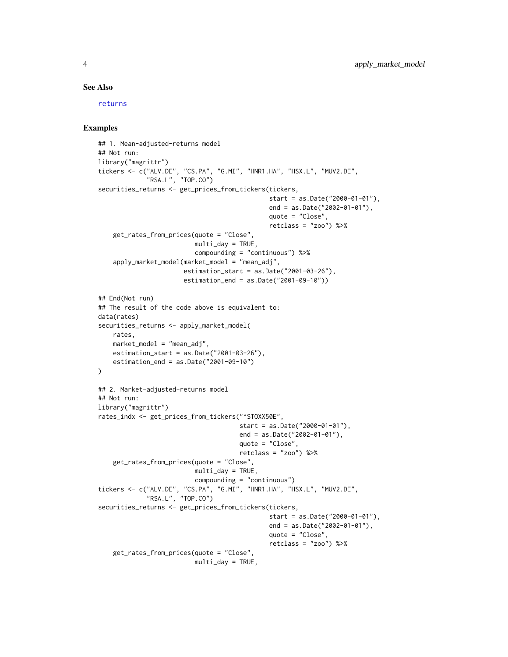#### See Also

[returns](#page-35-1)

```
## 1. Mean-adjusted-returns model
## Not run:
library("magrittr")
tickers <- c("ALV.DE", "CS.PA", "G.MI", "HNR1.HA", "HSX.L", "MUV2.DE",
             "RSA.L", "TOP.CO")
securities_returns <- get_prices_from_tickers(tickers,
                                              start = as.Date("2000-01-01"),
                                              end = as.Date("2002-01-01"),
                                              quote = "Close",
                                              retclass = "zoo") %>%
    get_rates_from_prices(quote = "Close",
                          multi_day = TRUE,
                          compounding = "continuous") %>%
    apply_market_model(market_model = "mean_adj",
                       estimation_start = as.Date("2001-03-26"),
                       estimation_end = as.Date("2001-09-10"))
## End(Not run)
## The result of the code above is equivalent to:
data(rates)
securities_returns <- apply_market_model(
   rates,
   market_model = "mean_adj",
   estimation_start = as.Date("2001-03-26"),
    estimation_end = as.Date("2001-09-10")
)
## 2. Market-adjusted-returns model
## Not run:
library("magrittr")
rates_indx <- get_prices_from_tickers("^STOXX50E",
                                      start = as.Date("2000-01-01"),
                                      end = as.Date("2002-01-01"),
                                      quote = "Close",
                                      retclass = "zoo") %>%
    get_rates_from_prices(quote = "Close",
                          multi_day = TRUE,
                          compounding = "continuous")
tickers <- c("ALV.DE", "CS.PA", "G.MI", "HNR1.HA", "HSX.L", "MUV2.DE",
             "RSA.L", "TOP.CO")
securities_returns <- get_prices_from_tickers(tickers,
                                              start = as.Date("2000-01-01"),
                                              end = as.Date("2002-01-01"),
                                              quote = "Close",
                                              retclass = "zoo") %>%
    get_rates_from_prices(quote = "Close",
                          multi_day = TRUE,
```
<span id="page-3-0"></span>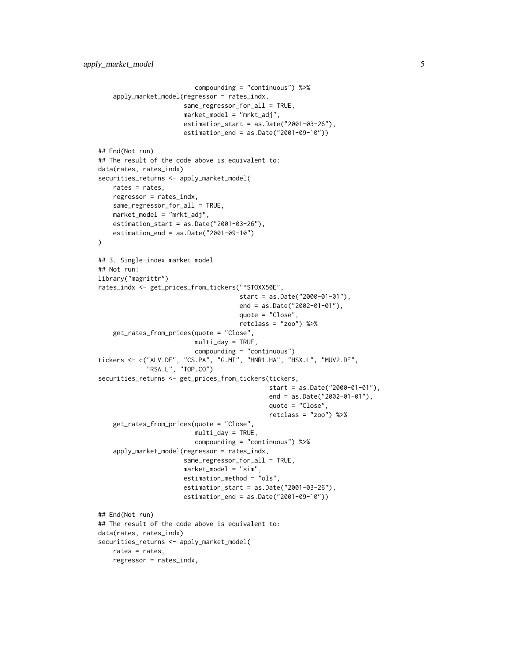```
compounding = "continuous") %>%
    apply_market_model(regressor = rates_indx,
                       same_regressor_for_all = TRUE,
                       market_model = "mrkt_adj",
                       estimation_start = as.Date("2001-03-26"),
                       estimation_end = as.Date("2001-09-10"))
## End(Not run)
## The result of the code above is equivalent to:
data(rates, rates_indx)
securities_returns <- apply_market_model(
   rates = rates,
    regressor = rates_indx,
    same_regressor_for_all = TRUE,
   market_model = "mrkt_adj",
    estimation_start = as.Date("2001-03-26"),
   estimation_end = as.Date("2001-09-10")
)
## 3. Single-index market model
## Not run:
library("magrittr")
rates_indx <- get_prices_from_tickers("^STOXX50E",
                                      start = as.Date("2000-01-01"),
                                      end = as.Date("2002-01-01"),
                                      quote = "Close",
                                      retclass = "zoo") %>%
    get_rates_from_prices(quote = "Close",
                          multi_day = TRUE,
                          compounding = "continuous")
tickers <- c("ALV.DE", "CS.PA", "G.MI", "HNR1.HA", "HSX.L", "MUV2.DE",
             "RSA.L", "TOP.CO")
securities_returns <- get_prices_from_tickers(tickers,
                                               start = as.Date("2000-01-01"),
                                               end = as.Date("2002-01-01"),
                                               quote = "Close",
                                               retclass = "zoo") %>%
    get_rates_from_prices(quote = "Close",
                          multi_day = TRUE,
                          compounding = "continuous") %>%
    apply_market_model(regressor = rates_indx,
                       same_regressor_for_all = TRUE,
                       market_model = "sim",
                       estimation_method = "ols",
                       estimation_start = as.Date("2001-03-26"),
                       estimation_end = as.Date("2001-09-10"))
## End(Not run)
## The result of the code above is equivalent to:
data(rates, rates_indx)
securities_returns <- apply_market_model(
   rates = rates,
    regressor = rates_indx,
```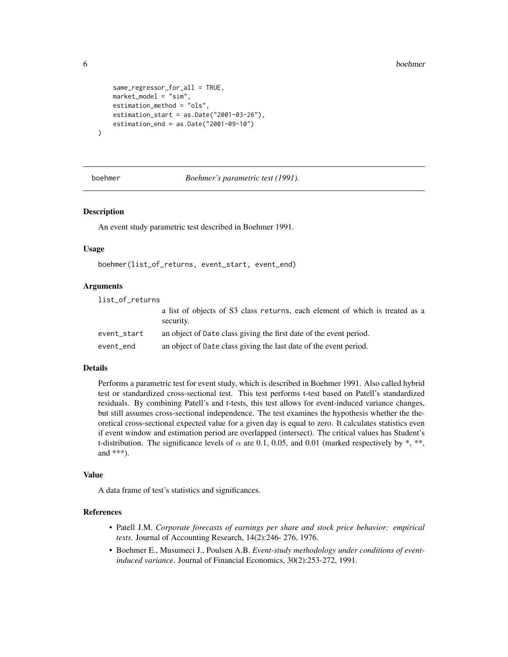```
same_regressor_for_all = TRUE,
    market_model = "sim",
    estimation_method = "ols",
    estimation_start = as.Date("2001-03-26"),
    estimation_end = as.Date("2001-09-10")
)
```
<span id="page-5-1"></span>boehmer *Boehmer's parametric test (1991).*

#### Description

An event study parametric test described in Boehmer 1991.

#### Usage

boehmer(list\_of\_returns, event\_start, event\_end)

#### Arguments

| list_of_returns |                                                                                           |
|-----------------|-------------------------------------------------------------------------------------------|
|                 | a list of objects of S3 class returns, each element of which is treated as a<br>security. |
| event_start     | an object of Date class giving the first date of the event period.                        |
| event end       | an object of Date class giving the last date of the event period.                         |

#### Details

Performs a parametric test for event study, which is described in Boehmer 1991. Also called hybrid test or standardized cross-sectional test. This test performs t-test based on Patell's standardized residuals. By combining Patell's and t-tests, this test allows for event-induced variance changes, but still assumes cross-sectional independence. The test examines the hypothesis whether the theoretical cross-sectional expected value for a given day is equal to zero. It calculates statistics even if event window and estimation period are overlapped (intersect). The critical values has Student's t-distribution. The significance levels of  $\alpha$  are 0.1, 0.05, and 0.01 (marked respectively by \*, \*\*, and \*\*\*).

#### Value

A data frame of test's statistics and significances.

#### References

- Patell J.M. *Corporate forecasts of earnings per share and stock price behavior: empirical tests*. Journal of Accounting Research, 14(2):246- 276, 1976.
- Boehmer E., Musumeci J., Poulsen A.B. *Event-study methodology under conditions of eventinduced variance*. Journal of Financial Economics, 30(2):253-272, 1991.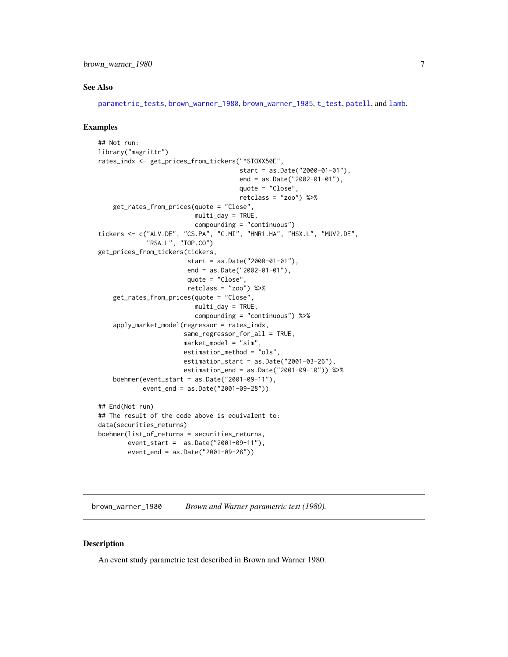#### <span id="page-6-0"></span>See Also

[parametric\\_tests](#page-27-1), [brown\\_warner\\_1980](#page-6-1), [brown\\_warner\\_1985](#page-8-1), [t\\_test](#page-41-1), [patell](#page-29-1), and [lamb](#page-22-1).

#### Examples

```
## Not run:
library("magrittr")
rates_indx <- get_prices_from_tickers("^STOXX50E",
                                      start = as.Date("2000-01-01"),
                                      end = as.Date("2002-01-01"),
                                      quote = "Close",
                                      retclass = "zoo") %>%
    get_rates_from_prices(quote = "Close",
                          multi_day = TRUE,
                          compounding = "continuous")
tickers <- c("ALV.DE", "CS.PA", "G.MI", "HNR1.HA", "HSX.L", "MUV2.DE",
             "RSA.L", "TOP.CO")
get_prices_from_tickers(tickers,
                        start = as.Date("2000-01-01"),
                        end = as.Date("2002-01-01"),
                        quote = "Close",
                        retclass = "zoo") %>%
    get_rates_from_prices(quote = "Close",
                          multi_day = TRUE,
                          compounding = "continuous") %>%
    apply_market_model(regressor = rates_indx,
                       same_regressor_for_all = TRUE,
                       market_model = "sim",
                       estimation_method = "ols",
                       estimation_start = as.Date("2001-03-26"),
                       estimation_end = as.Date("2001-09-10")) %>%
    boehmer(event_start = as.Date("2001-09-11"),
            event_end = as.Date("2001-09-28"))
## End(Not run)
## The result of the code above is equivalent to:
data(securities_returns)
boehmer(list_of_returns = securities_returns,
        event_start = as.Date("2001-09-11"),
        event_end = as.Date("2001-09-28"))
```
<span id="page-6-1"></span>brown\_warner\_1980 *Brown and Warner parametric test (1980).*

#### Description

An event study parametric test described in Brown and Warner 1980.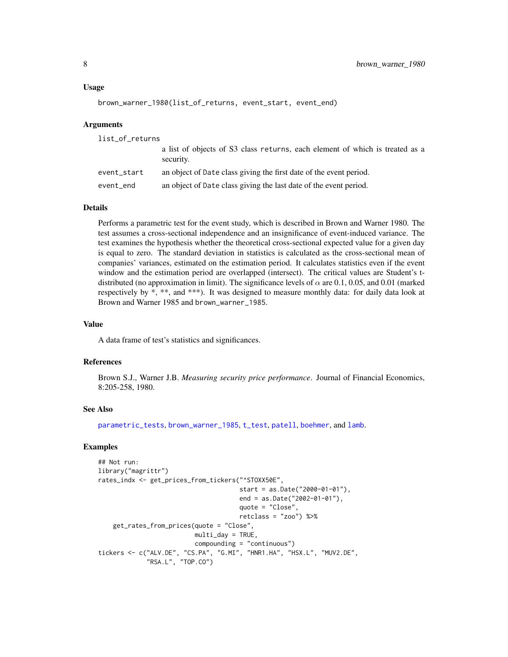```
brown_warner_1980(list_of_returns, event_start, event_end)
```
#### Arguments

| list_of_returns |                                                                                           |
|-----------------|-------------------------------------------------------------------------------------------|
|                 | a list of objects of S3 class returns, each element of which is treated as a<br>security. |
| event_start     | an object of Date class giving the first date of the event period.                        |
| event_end       | an object of Date class giving the last date of the event period.                         |

#### Details

Performs a parametric test for the event study, which is described in Brown and Warner 1980. The test assumes a cross-sectional independence and an insignificance of event-induced variance. The test examines the hypothesis whether the theoretical cross-sectional expected value for a given day is equal to zero. The standard deviation in statistics is calculated as the cross-sectional mean of companies' variances, estimated on the estimation period. It calculates statistics even if the event window and the estimation period are overlapped (intersect). The critical values are Student's tdistributed (no approximation in limit). The significance levels of  $\alpha$  are 0.1, 0.05, and 0.01 (marked respectively by \*, \*\*, and \*\*\*). It was designed to measure monthly data: for daily data look at Brown and Warner 1985 and brown\_warner\_1985.

#### Value

A data frame of test's statistics and significances.

#### References

Brown S.J., Warner J.B. *Measuring security price performance*. Journal of Financial Economics, 8:205-258, 1980.

#### See Also

[parametric\\_tests](#page-27-1), [brown\\_warner\\_1985](#page-8-1), [t\\_test](#page-41-1), [patell](#page-29-1), [boehmer](#page-5-1), and [lamb](#page-22-1).

```
## Not run:
library("magrittr")
rates_indx <- get_prices_from_tickers("^STOXX50E",
                                      start = as.Date("2000-01-01"),
                                      end = as.Date("2002-01-01"),
                                      quote = "Close",
                                      retclass = "zoo") %>%
    get_rates_from_prices(quote = "Close",
                          multi_day = TRUE,
                          compounding = "continuous")
tickers <- c("ALV.DE", "CS.PA", "G.MI", "HNR1.HA", "HSX.L", "MUV2.DE",
             "RSA.L", "TOP.CO")
```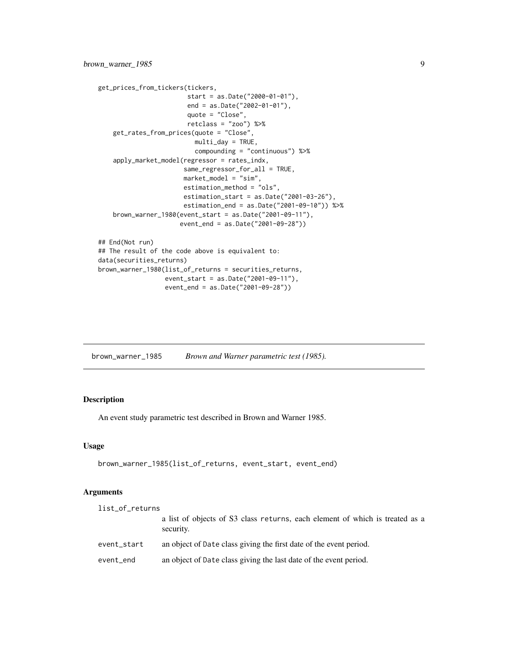```
get_prices_from_tickers(tickers,
                        start = as.Date("2000-01-01"),
                        end = as.Date("2002-01-01"),
                        quote = "Close",
                        retclass = "zoo") %>%
   get_rates_from_prices(quote = "Close",
                         multi_day = TRUE,
                         compounding = "continuous") %>%
    apply_market_model(regressor = rates_indx,
                       same_regressor_for_all = TRUE,
                       market_model = "sim",
                       estimation_method = "ols",
                       estimation_start = as.Date("2001-03-26"),
                       estimation_end = as.Date("2001-09-10")) %>%
   brown_warner_1980(event_start = as.Date("2001-09-11"),
                      event_end = as.Date("2001-09-28"))
## End(Not run)
## The result of the code above is equivalent to:
data(securities_returns)
brown_warner_1980(list_of_returns = securities_returns,
                 event_start = as.Date("2001-09-11"),
                 event_end = as.Date("2001-09-28"))
```
<span id="page-8-1"></span>

| brown_warner_1985 |  | Brown and Warner parametric test (1985). |
|-------------------|--|------------------------------------------|
|-------------------|--|------------------------------------------|

#### Description

An event study parametric test described in Brown and Warner 1985.

#### Usage

```
brown_warner_1985(list_of_returns, event_start, event_end)
```
#### Arguments

| list_of_returns |                                                                                           |
|-----------------|-------------------------------------------------------------------------------------------|
|                 | a list of objects of S3 class returns, each element of which is treated as a<br>security. |
| event_start     | an object of Date class giving the first date of the event period.                        |
| event_end       | an object of Date class giving the last date of the event period.                         |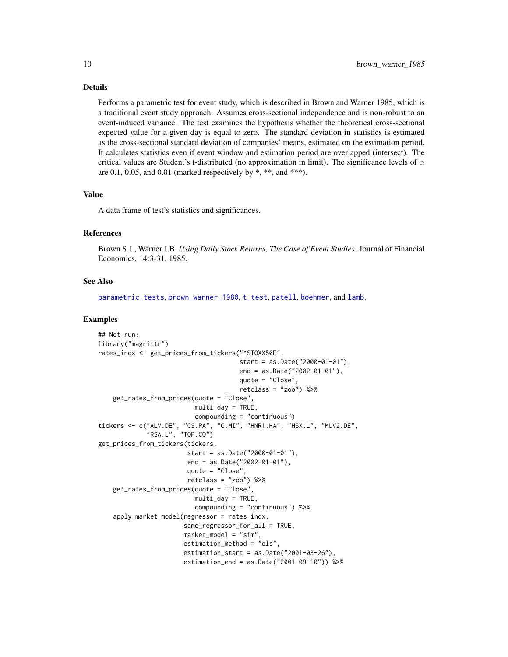#### <span id="page-9-0"></span>Details

Performs a parametric test for event study, which is described in Brown and Warner 1985, which is a traditional event study approach. Assumes cross-sectional independence and is non-robust to an event-induced variance. The test examines the hypothesis whether the theoretical cross-sectional expected value for a given day is equal to zero. The standard deviation in statistics is estimated as the cross-sectional standard deviation of companies' means, estimated on the estimation period. It calculates statistics even if event window and estimation period are overlapped (intersect). The critical values are Student's t-distributed (no approximation in limit). The significance levels of  $\alpha$ are  $0.1$ ,  $0.05$ , and  $0.01$  (marked respectively by  $*$ ,  $**$ , and  $***$ ).

#### Value

A data frame of test's statistics and significances.

#### References

Brown S.J., Warner J.B. *Using Daily Stock Returns, The Case of Event Studies*. Journal of Financial Economics, 14:3-31, 1985.

#### See Also

[parametric\\_tests](#page-27-1), [brown\\_warner\\_1980](#page-6-1), [t\\_test](#page-41-1), [patell](#page-29-1), [boehmer](#page-5-1), and [lamb](#page-22-1).

```
## Not run:
library("magrittr")
rates_indx <- get_prices_from_tickers("^STOXX50E",
                                      start = as.Date("2000-01-01"),
                                      end = as.Date("2002-01-01"),
                                      quote = "Close",
                                      retclass = "zoo") %>%
    get_rates_from_prices(quote = "Close",
                          multi_day = TRUE,
                          compounding = "continuous")
tickers <- c("ALV.DE", "CS.PA", "G.MI", "HNR1.HA", "HSX.L", "MUV2.DE",
             "RSA.L", "TOP.CO")
get_prices_from_tickers(tickers,
                        start = as.Date("2000-01-01"),
                        end = as.Date("2002-01-01"),
                        quote = "Close",
                        retclass = "zoo") %>%
    get_rates_from_prices(quote = "Close",
                          multi_day = TRUE,
                          compounding = "continuous") %>%
    apply_market_model(regressor = rates_indx,
                       same_regressor_for_all = TRUE,
                       market_model = "sim",
                       estimation_method = "ols",
                       estimation_start = as.Date("2001-03-26"),
                       estimation_end = as.Date("2001-09-10")) %>%
```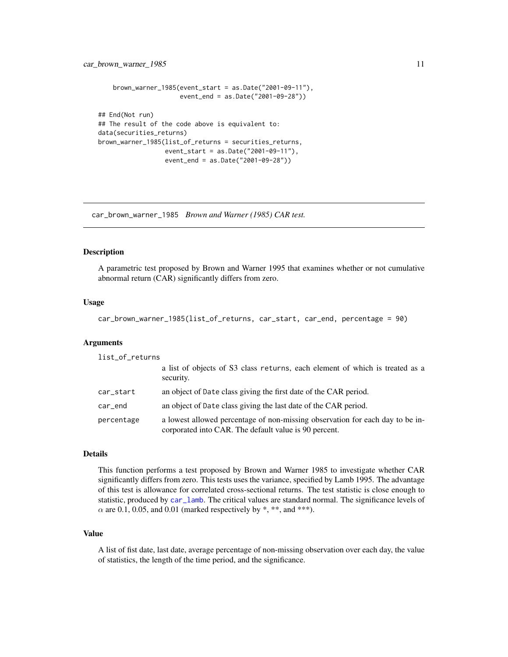```
brown_warner_1985(event_start = as.Date("2001-09-11"),
                      event_end = as.Date("2001-09-28"))
## End(Not run)
## The result of the code above is equivalent to:
data(securities_returns)
brown_warner_1985(list_of_returns = securities_returns,
                  event_start = as.Date("2001-09-11"),
                  event_end = as.Date("2001-09-28"))
```
<span id="page-10-1"></span>car\_brown\_warner\_1985 *Brown and Warner (1985) CAR test.*

#### Description

A parametric test proposed by Brown and Warner 1995 that examines whether or not cumulative abnormal return (CAR) significantly differs from zero.

#### Usage

```
car_brown_warner_1985(list_of_returns, car_start, car_end, percentage = 90)
```
#### Arguments

| list_of_returns |                                                                                                                                        |
|-----------------|----------------------------------------------------------------------------------------------------------------------------------------|
|                 | a list of objects of S3 class returns, each element of which is treated as a<br>security.                                              |
| car_start       | an object of Date class giving the first date of the CAR period.                                                                       |
| car_end         | an object of Date class giving the last date of the CAR period.                                                                        |
| percentage      | a lowest allowed percentage of non-missing observation for each day to be in-<br>corporated into CAR. The default value is 90 percent. |

#### Details

This function performs a test proposed by Brown and Warner 1985 to investigate whether CAR significantly differs from zero. This tests uses the variance, specified by Lamb 1995. The advantage of this test is allowance for correlated cross-sectional returns. The test statistic is close enough to statistic, produced by [car\\_lamb](#page-12-1). The critical values are standard normal. The significance levels of  $\alpha$  are 0.1, 0.05, and 0.01 (marked respectively by \*, \*\*, and \*\*\*).

#### Value

A list of fist date, last date, average percentage of non-missing observation over each day, the value of statistics, the length of the time period, and the significance.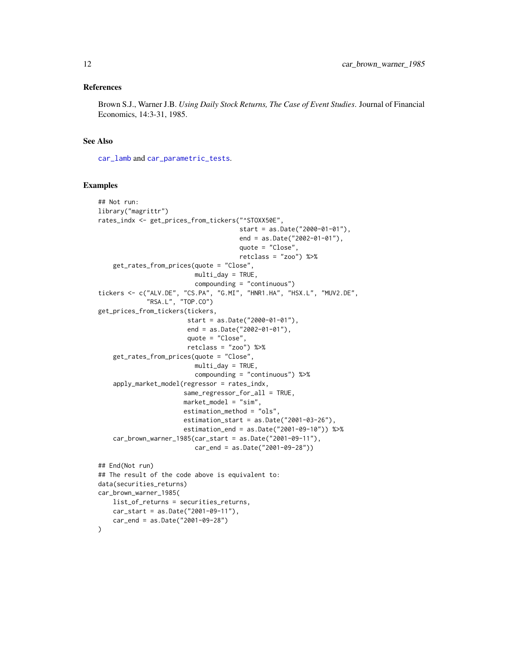#### <span id="page-11-0"></span>References

Brown S.J., Warner J.B. *Using Daily Stock Returns, The Case of Event Studies*. Journal of Financial Economics, 14:3-31, 1985.

#### See Also

[car\\_lamb](#page-12-1) and [car\\_parametric\\_tests](#page-13-1).

car\_start = as.Date("2001-09-11"), car\_end = as.Date("2001-09-28")

#### Examples

)

```
## Not run:
library("magrittr")
rates_indx <- get_prices_from_tickers("^STOXX50E",
                                      start = as.Date("2000-01-01"),
                                      end = as.Date("2002-01-01"),
                                      quote = "Close",
                                      retclass = "zoo") %>%
    get_rates_from_prices(quote = "Close",
                          multi_day = TRUE,
                          compounding = "continuous")
tickers <- c("ALV.DE", "CS.PA", "G.MI", "HNR1.HA", "HSX.L", "MUV2.DE",
             "RSA.L", "TOP.CO")
get_prices_from_tickers(tickers,
                        start = as.Date("2000-01-01"),
                        end = as.Date("2002-01-01"),
                        quote = "Close",
                        retclass = "zoo") %>%
    get_rates_from_prices(quote = "Close",
                          multi_day = TRUE,
                          compounding = "continuous") %>%
    apply_market_model(regressor = rates_indx,
                       same_regressor_for_all = TRUE,
                       market_model = "sim",
                       estimation_method = "ols",
                       estimation_start = as.Date("2001-03-26"),
                       estimation_end = as.Date("2001-09-10")) %>%
    car_brown_warner_1985(car_start = as.Date("2001-09-11"),
                          car_end = as.Date("2001-09-28"))
## End(Not run)
## The result of the code above is equivalent to:
data(securities_returns)
car_brown_warner_1985(
    list_of_returns = securities_returns,
```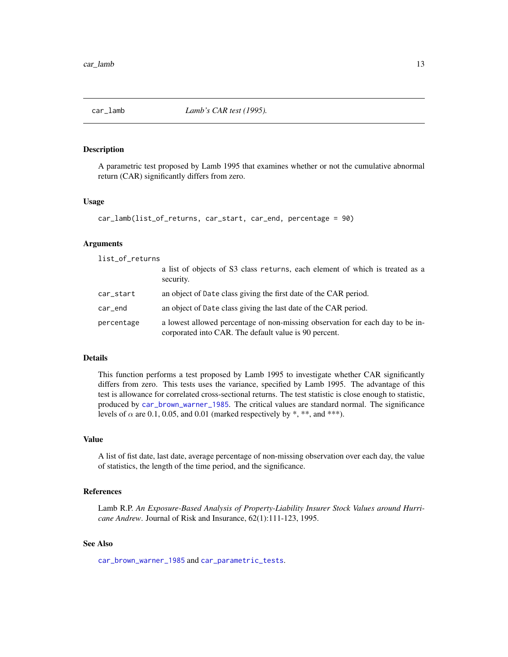<span id="page-12-1"></span><span id="page-12-0"></span>

#### Description

A parametric test proposed by Lamb 1995 that examines whether or not the cumulative abnormal return (CAR) significantly differs from zero.

#### Usage

```
car_lamb(list_of_returns, car_start, car_end, percentage = 90)
```
#### **Arguments**

list\_of\_returns

|            | a list of objects of S3 class returns, each element of which is treated as a<br>security.                                              |
|------------|----------------------------------------------------------------------------------------------------------------------------------------|
| car_start  | an object of Date class giving the first date of the CAR period.                                                                       |
| car_end    | an object of Date class giving the last date of the CAR period.                                                                        |
| percentage | a lowest allowed percentage of non-missing observation for each day to be in-<br>corporated into CAR. The default value is 90 percent. |

#### Details

This function performs a test proposed by Lamb 1995 to investigate whether CAR significantly differs from zero. This tests uses the variance, specified by Lamb 1995. The advantage of this test is allowance for correlated cross-sectional returns. The test statistic is close enough to statistic, produced by [car\\_brown\\_warner\\_1985](#page-10-1). The critical values are standard normal. The significance levels of  $\alpha$  are 0.1, 0.05, and 0.01 (marked respectively by \*, \*\*, and \*\*\*).

#### Value

A list of fist date, last date, average percentage of non-missing observation over each day, the value of statistics, the length of the time period, and the significance.

#### References

Lamb R.P. *An Exposure-Based Analysis of Property-Liability Insurer Stock Values around Hurricane Andrew*. Journal of Risk and Insurance, 62(1):111-123, 1995.

#### See Also

[car\\_brown\\_warner\\_1985](#page-10-1) and [car\\_parametric\\_tests](#page-13-1).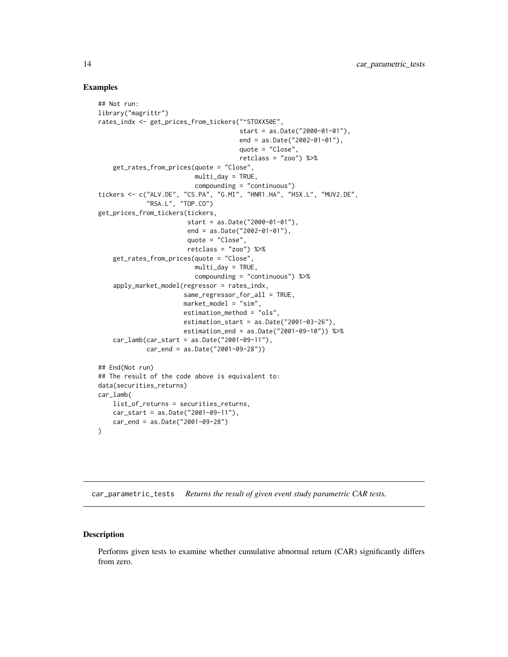#### Examples

```
## Not run:
library("magrittr")
rates_indx <- get_prices_from_tickers("^STOXX50E",
                                      start = as.Date("2000-01-01"),
                                      end = as.Date("2002-01-01"),
                                      quote = "Close",
                                      retclass = "zoo") %>%
    get_rates_from_prices(quote = "Close",
                          multi_day = TRUE,
                          compounding = "continuous")
tickers <- c("ALV.DE", "CS.PA", "G.MI", "HNR1.HA", "HSX.L", "MUV2.DE",
             "RSA.L", "TOP.CO")
get_prices_from_tickers(tickers,
                        start = as.Date("2000-01-01"),
                        end = as.Date("2002-01-01"),
                        quote = "Close",
                        retclass = "zoo") %>%
    get_rates_from_prices(quote = "Close",
                          multi_day = TRUE,
                          compounding = "continuous") %>%
    apply_market_model(regressor = rates_indx,
                       same_regressor_for_all = TRUE,
                       market_model = "sim",
                       estimation_method = "ols",
                       estimation_start = as.Date("2001-03-26"),
                       estimation_end = as.Date("2001-09-10")) %>%
    car_lamb(car_start = as.Date("2001-09-11"),
             car_end = as.Date("2001-09-28"))
## End(Not run)
## The result of the code above is equivalent to:
data(securities_returns)
car_lamb(
   list_of_returns = securities_returns,
   car_start = as.Date("2001-09-11"),
   car_end = as.Date("2001-09-28")
)
```
<span id="page-13-1"></span>car\_parametric\_tests *Returns the result of given event study parametric CAR tests.*

#### Description

Performs given tests to examine whether cumulative abnormal return (CAR) significantly differs from zero.

<span id="page-13-0"></span>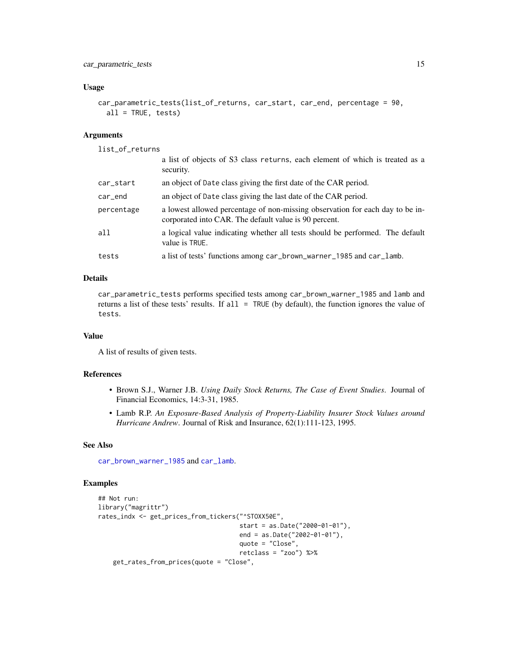#### <span id="page-14-0"></span>Usage

```
car_parametric_tests(list_of_returns, car_start, car_end, percentage = 90,
  all = TRUE, tests)
```
#### Arguments

list\_of\_returns

|            | a list of objects of S3 class returns, each element of which is treated as a<br>security.                                              |
|------------|----------------------------------------------------------------------------------------------------------------------------------------|
| car_start  | an object of Date class giving the first date of the CAR period.                                                                       |
| car_end    | an object of Date class giving the last date of the CAR period.                                                                        |
| percentage | a lowest allowed percentage of non-missing observation for each day to be in-<br>corporated into CAR. The default value is 90 percent. |
| all        | a logical value indicating whether all tests should be performed. The default<br>value is TRUE.                                        |
| tests      | a list of tests' functions among car_brown_warner_1985 and car_lamb.                                                                   |
|            |                                                                                                                                        |

#### Details

car\_parametric\_tests performs specified tests among car\_brown\_warner\_1985 and lamb and returns a list of these tests' results. If all = TRUE (by default), the function ignores the value of tests.

#### Value

A list of results of given tests.

#### References

- Brown S.J., Warner J.B. *Using Daily Stock Returns, The Case of Event Studies*. Journal of Financial Economics, 14:3-31, 1985.
- Lamb R.P. *An Exposure-Based Analysis of Property-Liability Insurer Stock Values around Hurricane Andrew*. Journal of Risk and Insurance, 62(1):111-123, 1995.

#### See Also

[car\\_brown\\_warner\\_1985](#page-10-1) and [car\\_lamb](#page-12-1).

```
## Not run:
library("magrittr")
rates_indx <- get_prices_from_tickers("^STOXX50E",
                                      start = as.Date("2000-01-01"),
                                      end = as.Date("2002-01-01"),
                                      quote = "Close",
                                      retclass = "zoo") %>%
   get_rates_from_prices(quote = "Close",
```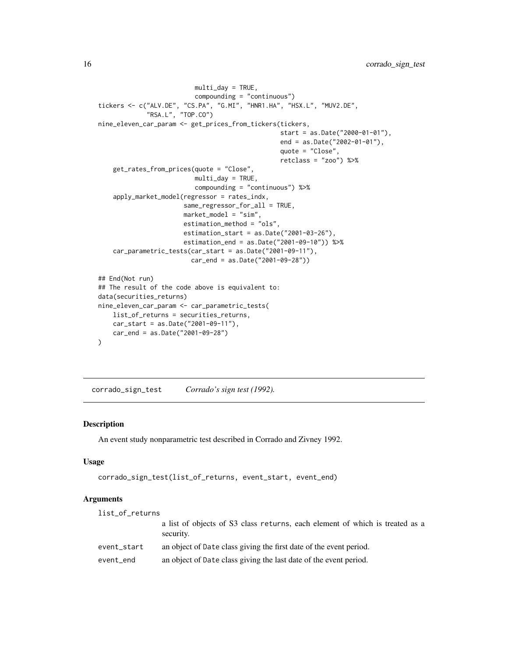```
multi_day = TRUE,
                          compounding = "continuous")
tickers <- c("ALV.DE", "CS.PA", "G.MI", "HNR1.HA", "HSX.L", "MUV2.DE",
             "RSA.L", "TOP.CO")
nine_eleven_car_param <- get_prices_from_tickers(tickers,
                                                 start = as.Date("2000-01-01"),
                                                 end = as.Date("2002-01-01"),
                                                 quote = "Close",
                                                 retclass = "zoo") %>%
   get_rates_from_prices(quote = "Close",
                          multi_day = TRUE,
                          compounding = "continuous") %>%
    apply_market_model(regressor = rates_indx,
                       same_regressor_for_all = TRUE,
                       market_model = "sim",
                       estimation_method = "ols",
                       estimation_start = as.Date("2001-03-26"),
                       estimation_end = as.Date("2001-09-10")) %>%
    car_parametric_tests(car_start = as.Date("2001-09-11"),
                         car_end = as.Date("2001-09-28"))
## End(Not run)
## The result of the code above is equivalent to:
data(securities_returns)
nine_eleven_car_param <- car_parametric_tests(
   list_of_returns = securities_returns,
   car_start = as.Date("2001-09-11"),
   car_end = as.Date("2001-09-28")
)
```
<span id="page-15-1"></span>corrado\_sign\_test *Corrado's sign test (1992).*

#### **Description**

An event study nonparametric test described in Corrado and Zivney 1992.

#### Usage

```
corrado_sign_test(list_of_returns, event_start, event_end)
```
#### Arguments

```
list_of_returns
                  a list of objects of S3 class returns, each element of which is treated as a
                  security.
event_start an object of Date class giving the first date of the event period.
event_end an object of Date class giving the last date of the event period.
```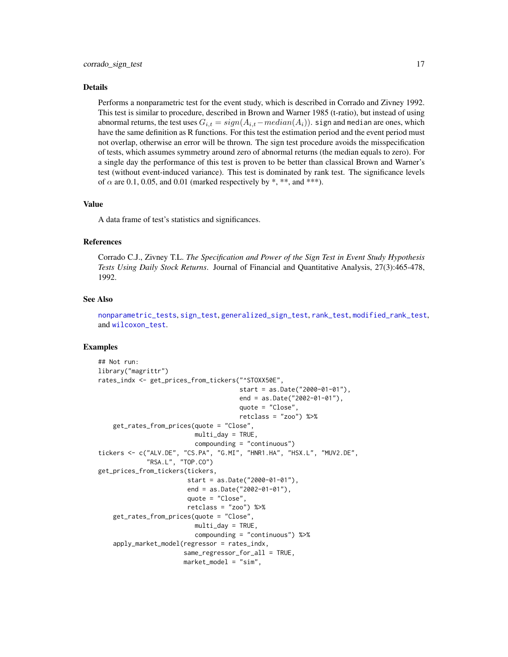#### <span id="page-16-0"></span>Details

Performs a nonparametric test for the event study, which is described in Corrado and Zivney 1992. This test is similar to procedure, described in Brown and Warner 1985 (t-ratio), but instead of using abnormal returns, the test uses  $G_{i,t} = sign(A_{i,t}-median(A_i))$ . sign and median are ones, which have the same definition as R functions. For this test the estimation period and the event period must not overlap, otherwise an error will be thrown. The sign test procedure avoids the misspecification of tests, which assumes symmetry around zero of abnormal returns (the median equals to zero). For a single day the performance of this test is proven to be better than classical Brown and Warner's test (without event-induced variance). This test is dominated by rank test. The significance levels of  $\alpha$  are 0.1, 0.05, and 0.01 (marked respectively by \*, \*\*, and \*\*\*).

#### Value

A data frame of test's statistics and significances.

#### References

Corrado C.J., Zivney T.L. *The Specification and Power of the Sign Test in Event Study Hypothesis Tests Using Daily Stock Returns*. Journal of Financial and Quantitative Analysis, 27(3):465-478, 1992.

#### See Also

[nonparametric\\_tests](#page-25-1), [sign\\_test](#page-39-1), [generalized\\_sign\\_test](#page-17-1), [rank\\_test](#page-32-1), [modified\\_rank\\_test](#page-23-1), and [wilcoxon\\_test](#page-42-1).

```
## Not run:
library("magrittr")
rates_indx <- get_prices_from_tickers("^STOXX50E",
                                      start = as.Date("2000-01-01"),
                                      end = as.Date("2002-01-01"),
                                      quote = "Close",
                                      retclass = "zoo") %>%
    get_rates_from_prices(quote = "Close",
                          multi_day = TRUE,compounding = "continuous")
tickers <- c("ALV.DE", "CS.PA", "G.MI", "HNR1.HA", "HSX.L", "MUV2.DE",
             "RSA.L", "TOP.CO")
get_prices_from_tickers(tickers,
                        start = as.Date("2000-01-01"),
                        end = as.Date("2002-01-01"),
                        quote = "Close",
                        retclass = "zoo") %>%
    get_rates_from_prices(quote = "Close",
                          multi_day = TRUE,
                          compounding = "continuous") %>%
    apply_market_model(regressor = rates_indx,
                       same_regressor_for_all = TRUE,
                       market_model = "sim",
```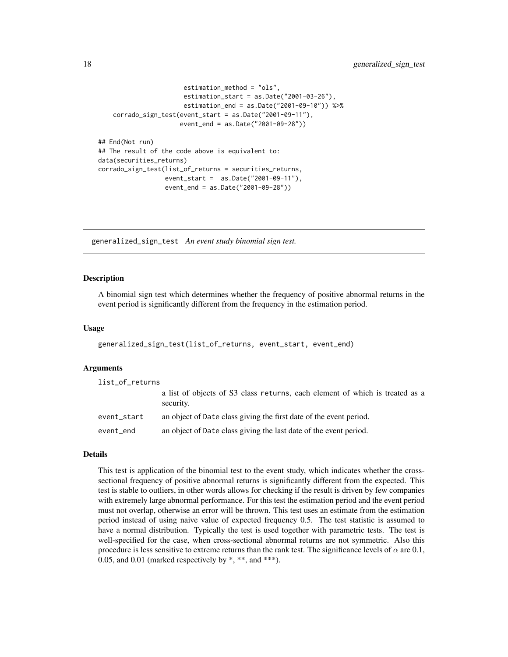```
estimation_method = "ols",
                   estimation_start = as.Date("2001-03-26"),
                   estimation_end = as.Date("2001-09-10")) %>%
corrado_sign_test(event_start = as.Date("2001-09-11"),
                 event_end = as.Date("2001-09-28"))
```

```
## End(Not run)
## The result of the code above is equivalent to:
data(securities_returns)
corrado_sign_test(list_of_returns = securities_returns,
                  event_start = as.Date("2001-09-11"),
                  event_end = as.Date("2001-09-28"))
```
<span id="page-17-1"></span>generalized\_sign\_test *An event study binomial sign test.*

#### Description

A binomial sign test which determines whether the frequency of positive abnormal returns in the event period is significantly different from the frequency in the estimation period.

#### Usage

```
generalized_sign_test(list_of_returns, event_start, event_end)
```
#### **Arguments**

| list_of_returns |                                                                                           |
|-----------------|-------------------------------------------------------------------------------------------|
|                 | a list of objects of S3 class returns, each element of which is treated as a<br>security. |
| event_start     | an object of Date class giving the first date of the event period.                        |
| event_end       | an object of Date class giving the last date of the event period.                         |

#### Details

This test is application of the binomial test to the event study, which indicates whether the crosssectional frequency of positive abnormal returns is significantly different from the expected. This test is stable to outliers, in other words allows for checking if the result is driven by few companies with extremely large abnormal performance. For this test the estimation period and the event period must not overlap, otherwise an error will be thrown. This test uses an estimate from the estimation period instead of using naive value of expected frequency 0.5. The test statistic is assumed to have a normal distribution. Typically the test is used together with parametric tests. The test is well-specified for the case, when cross-sectional abnormal returns are not symmetric. Also this procedure is less sensitive to extreme returns than the rank test. The significance levels of  $\alpha$  are 0.1, 0.05, and 0.01 (marked respectively by  $*, **$ , and  $***$ ).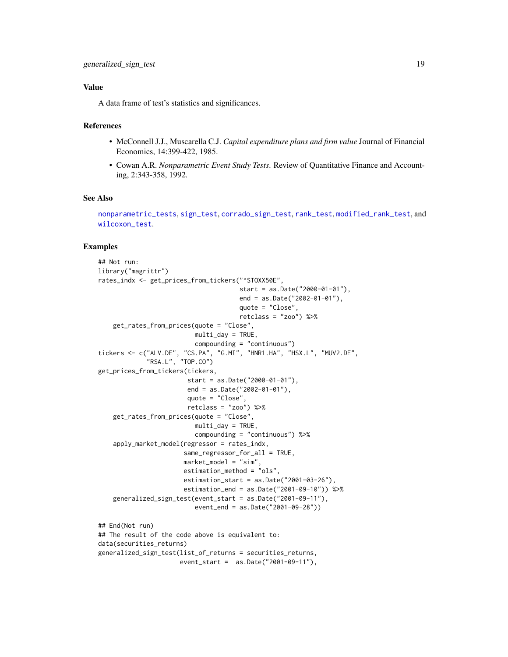#### <span id="page-18-0"></span>Value

A data frame of test's statistics and significances.

#### References

- McConnell J.J., Muscarella C.J. *Capital expenditure plans and firm value* Journal of Financial Economics, 14:399-422, 1985.
- Cowan A.R. *Nonparametric Event Study Tests*. Review of Quantitative Finance and Accounting, 2:343-358, 1992.

#### See Also

[nonparametric\\_tests](#page-25-1), [sign\\_test](#page-39-1), [corrado\\_sign\\_test](#page-15-1), [rank\\_test](#page-32-1), [modified\\_rank\\_test](#page-23-1), and [wilcoxon\\_test](#page-42-1).

```
## Not run:
library("magrittr")
rates_indx <- get_prices_from_tickers("^STOXX50E",
                                      start = as.Date("2000-01-01"),
                                      end = as.Date("2002-01-01"),
                                      quote = "Close",
                                      retclass = "zoo") %>>get_rates_from_prices(quote = "Close",
                          multi_day = TRUE,
                          compounding = "continuous")
tickers <- c("ALV.DE", "CS.PA", "G.MI", "HNR1.HA", "HSX.L", "MUV2.DE",
             "RSA.L", "TOP.CO")
get_prices_from_tickers(tickers,
                        start = as.Date("2000-01-01"),
                        end = as.Date("2002-01-01"),
                        quote = "Close",
                        retclass = "zoo") %>%
    get_rates_from_prices(quote = "Close",
                         multi_day = TRUE,
                         compounding = "continuous") %>%
    apply_market_model(regressor = rates_indx,
                       same_regressor_for_all = TRUE,
                       market_model = "sim",
                       estimation_method = "ols",
                       estimation_start = as.Date("2001-03-26"),
                       estimation_end = as.Date("2001-09-10")) %>%
    generalized_sign_test(event_start = as.Date("2001-09-11"),
                          event_end = as.Date("2001-09-28"))
## End(Not run)
## The result of the code above is equivalent to:
data(securities_returns)
generalized_sign_test(list_of_returns = securities_returns,
                      event_start = as.Date("2001-09-11"),
```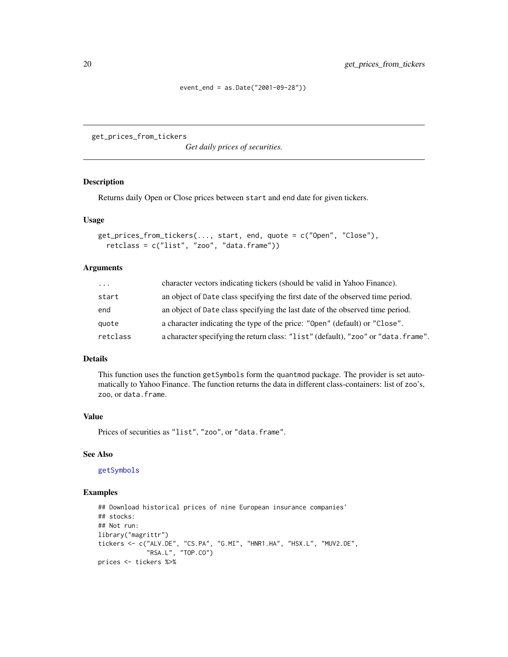event\_end = as.Date("2001-09-28"))

<span id="page-19-1"></span><span id="page-19-0"></span>get\_prices\_from\_tickers

*Get daily prices of securities.*

#### Description

Returns daily Open or Close prices between start and end date for given tickers.

#### Usage

```
get_prices_from_tickers(..., start, end, quote = c("Open", "Close"),
 retclass = c("list", "zoo", "data.frame"))
```
#### Arguments

| $\cdots$ | character vectors indicating tickers (should be valid in Yahoo Finance).           |
|----------|------------------------------------------------------------------------------------|
| start    | an object of Date class specifying the first date of the observed time period.     |
| end      | an object of Date class specifying the last date of the observed time period.      |
| quote    | a character indicating the type of the price: "Open" (default) or "Close".         |
| retclass | a character specifying the return class: "list" (default), "zoo" or "data. frame". |

#### Details

This function uses the function getSymbols form the quantmod package. The provider is set automatically to Yahoo Finance. The function returns the data in different class-containers: list of zoo's, zoo, or data.frame.

#### Value

Prices of securities as "list", "zoo", or "data.frame".

#### See Also

[getSymbols](#page-0-0)

```
## Download historical prices of nine European insurance companies'
## stocks:
## Not run:
library("magrittr")
tickers <- c("ALV.DE", "CS.PA", "G.MI", "HNR1.HA", "HSX.L", "MUV2.DE",
             "RSA.L", "TOP.CO")
prices <- tickers %>%
```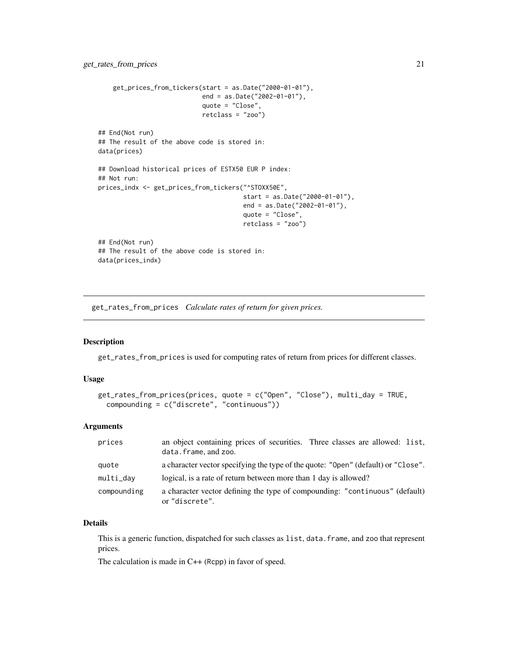```
get_prices_from_tickers(start = as.Date("2000-01-01"),
                            end = as.Date("2002-01-01"),
                            quote = "Close",
                            retclass = "zoo")
## End(Not run)
## The result of the above code is stored in:
data(prices)
## Download historical prices of ESTX50 EUR P index:
## Not run:
prices_indx <- get_prices_from_tickers("^STOXX50E",
                                       start = as.Date("2000-01-01"),
                                       end = as.Date("2002-01-01"),
                                       quote = "Close",
                                       retclass = "zoo")
## End(Not run)
## The result of the above code is stored in:
data(prices_indx)
```
<span id="page-20-1"></span>get\_rates\_from\_prices *Calculate rates of return for given prices.*

#### Description

get\_rates\_from\_prices is used for computing rates of return from prices for different classes.

#### Usage

```
get_rates_from_prices(prices, quote = c("Open", "Close"), multi_day = TRUE,
  compounding = c("discrete", "continuous"))
```
#### Arguments

| prices      | an object containing prices of securities. Three classes are allowed: list,<br>data.frame, and zoo. |
|-------------|-----------------------------------------------------------------------------------------------------|
| quote       | a character vector specifying the type of the quote: "Open" (default) or "Close".                   |
| multi_day   | logical, is a rate of return between more than 1 day is allowed?                                    |
| compounding | a character vector defining the type of compounding: "continuous" (default)<br>or "discrete".       |

#### Details

This is a generic function, dispatched for such classes as list, data.frame, and zoo that represent prices.

The calculation is made in C++ (Rcpp) in favor of speed.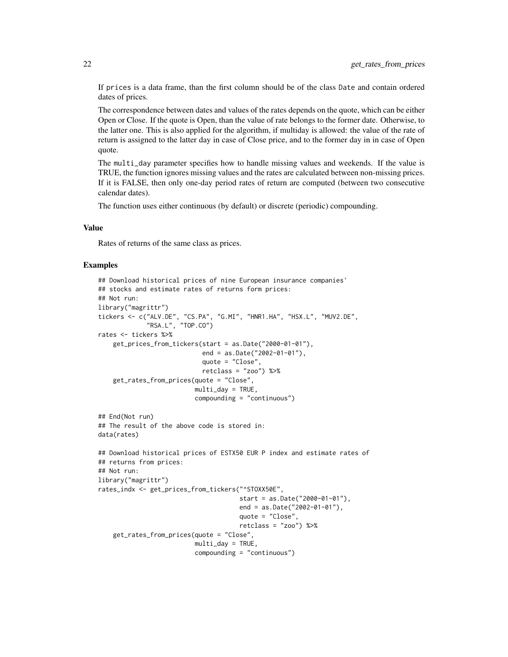If prices is a data frame, than the first column should be of the class Date and contain ordered dates of prices.

The correspondence between dates and values of the rates depends on the quote, which can be either Open or Close. If the quote is Open, than the value of rate belongs to the former date. Otherwise, to the latter one. This is also applied for the algorithm, if multiday is allowed: the value of the rate of return is assigned to the latter day in case of Close price, and to the former day in in case of Open quote.

The multi\_day parameter specifies how to handle missing values and weekends. If the value is TRUE, the function ignores missing values and the rates are calculated between non-missing prices. If it is FALSE, then only one-day period rates of return are computed (between two consecutive calendar dates).

The function uses either continuous (by default) or discrete (periodic) compounding.

#### Value

Rates of returns of the same class as prices.

```
## Download historical prices of nine European insurance companies'
## stocks and estimate rates of returns form prices:
## Not run:
library("magrittr")
tickers <- c("ALV.DE", "CS.PA", "G.MI", "HNR1.HA", "HSX.L", "MUV2.DE",
             "RSA.L", "TOP.CO")
rates <- tickers %>%
    get_prices_from_tickers(start = as.Date("2000-01-01"),
                            end = as.Date("2002-01-01"),
                            quote = "Close",
                            retclass = "zoo") %>%
    get_rates_from_prices(quote = "Close",
                          multi\_day = TRUE,
                          compounding = "continuous")
## End(Not run)
## The result of the above code is stored in:
data(rates)
## Download historical prices of ESTX50 EUR P index and estimate rates of
## returns from prices:
## Not run:
library("magrittr")
rates_indx <- get_prices_from_tickers("^STOXX50E",
                                      start = as.Date("2000-01-01"),
                                      end = as.Date("2002-01-01"),
                                      quote = "Close",
                                      retclass = "zoo") %>%
    get_rates_from_prices(quote = "Close",
                          multi_day = TRUE,
                          compounding = "continuous")
```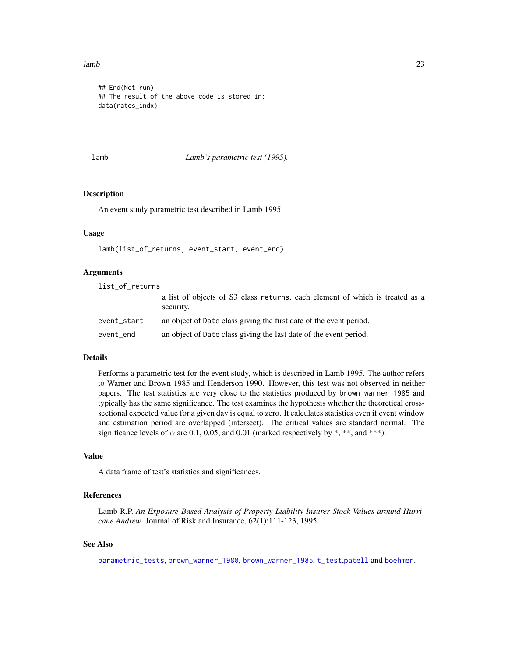#### <span id="page-22-0"></span> $lamb$  23

```
## End(Not run)
## The result of the above code is stored in:
data(rates_indx)
```
<span id="page-22-1"></span>lamb *Lamb's parametric test (1995).*

#### Description

An event study parametric test described in Lamb 1995.

#### Usage

lamb(list\_of\_returns, event\_start, event\_end)

#### Arguments

| list_of_returns |                                                                                           |
|-----------------|-------------------------------------------------------------------------------------------|
|                 | a list of objects of S3 class returns, each element of which is treated as a<br>security. |
| event_start     | an object of Date class giving the first date of the event period.                        |
| event_end       | an object of Date class giving the last date of the event period.                         |

#### Details

Performs a parametric test for the event study, which is described in Lamb 1995. The author refers to Warner and Brown 1985 and Henderson 1990. However, this test was not observed in neither papers. The test statistics are very close to the statistics produced by brown\_warner\_1985 and typically has the same significance. The test examines the hypothesis whether the theoretical crosssectional expected value for a given day is equal to zero. It calculates statistics even if event window and estimation period are overlapped (intersect). The critical values are standard normal. The significance levels of  $\alpha$  are 0.1, 0.05, and 0.01 (marked respectively by \*, \*\*, and \*\*\*).

#### Value

A data frame of test's statistics and significances.

#### References

Lamb R.P. *An Exposure-Based Analysis of Property-Liability Insurer Stock Values around Hurricane Andrew*. Journal of Risk and Insurance, 62(1):111-123, 1995.

#### See Also

[parametric\\_tests](#page-27-1), [brown\\_warner\\_1980](#page-6-1), [brown\\_warner\\_1985](#page-8-1), [t\\_test](#page-41-1),[patell](#page-29-1) and [boehmer](#page-5-1).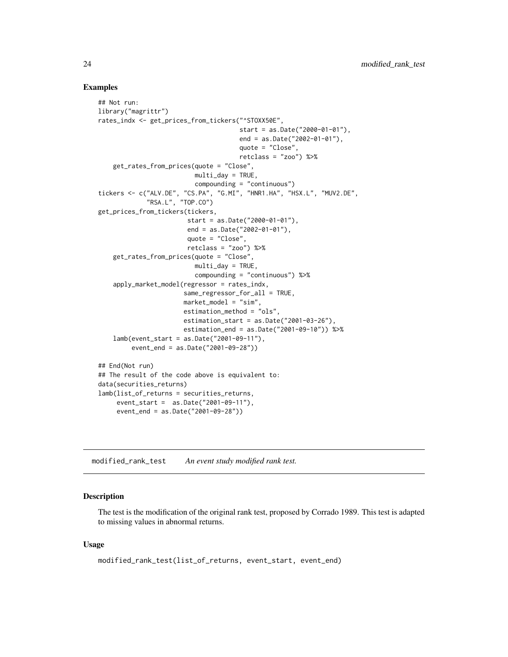#### Examples

```
## Not run:
library("magrittr")
rates_indx <- get_prices_from_tickers("^STOXX50E",
                                      start = as.Date("2000-01-01"),
                                      end = as.Date("2002-01-01"),
                                      quote = "Close",
                                      retclass = "zoo") %>%
    get_rates_from_prices(quote = "Close",
                          multi_day = TRUE,
                          compounding = "continuous")
tickers <- c("ALV.DE", "CS.PA", "G.MI", "HNR1.HA", "HSX.L", "MUV2.DE",
             "RSA.L", "TOP.CO")
get_prices_from_tickers(tickers,
                        start = as.Date("2000-01-01"),
                        end = as.Date("2002-01-01"),
                        quote = "Close",
                        retclass = "zoo") %>%
    get_rates_from_prices(quote = "Close",
                          multi_day = TRUE,
                          compounding = "continuous") %>%
    apply_market_model(regressor = rates_indx,
                       same_regressor_for_all = TRUE,
                       market_model = "sim",
                       estimation_method = "ols",
                       estimation_start = as.Date("2001-03-26"),
                       estimation_end = as.Date("2001-09-10")) %>%
    lamb(event_start = as.Date("2001-09-11"),
         event_end = as.Date("2001-09-28"))
## End(Not run)
## The result of the code above is equivalent to:
data(securities_returns)
lamb(list_of_returns = securities_returns,
     event_start = as.Date("2001-09-11"),
     event_end = as.Date("2001-09-28"))
```
<span id="page-23-1"></span>modified\_rank\_test *An event study modified rank test.*

#### Description

The test is the modification of the original rank test, proposed by Corrado 1989. This test is adapted to missing values in abnormal returns.

#### Usage

```
modified_rank_test(list_of_returns, event_start, event_end)
```
<span id="page-23-0"></span>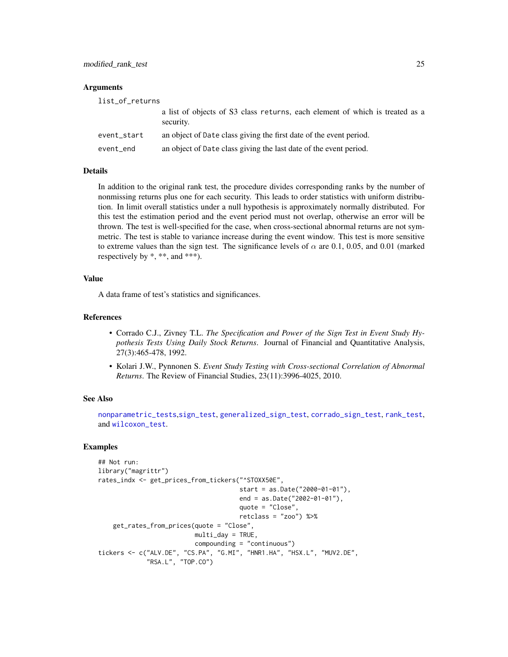#### <span id="page-24-0"></span>**Arguments**

| list_of_returns |                                                                                           |
|-----------------|-------------------------------------------------------------------------------------------|
|                 | a list of objects of S3 class returns, each element of which is treated as a<br>security. |
| event_start     | an object of Date class giving the first date of the event period.                        |
| event_end       | an object of Date class giving the last date of the event period.                         |

#### Details

In addition to the original rank test, the procedure divides corresponding ranks by the number of nonmissing returns plus one for each security. This leads to order statistics with uniform distribution. In limit overall statistics under a null hypothesis is approximately normally distributed. For this test the estimation period and the event period must not overlap, otherwise an error will be thrown. The test is well-specified for the case, when cross-sectional abnormal returns are not symmetric. The test is stable to variance increase during the event window. This test is more sensitive to extreme values than the sign test. The significance levels of  $\alpha$  are 0.1, 0.05, and 0.01 (marked respectively by \*, \*\*, and \*\*\*).

#### Value

A data frame of test's statistics and significances.

#### References

- Corrado C.J., Zivney T.L. *The Specification and Power of the Sign Test in Event Study Hypothesis Tests Using Daily Stock Returns*. Journal of Financial and Quantitative Analysis, 27(3):465-478, 1992.
- Kolari J.W., Pynnonen S. *Event Study Testing with Cross-sectional Correlation of Abnormal Returns*. The Review of Financial Studies, 23(11):3996-4025, 2010.

#### See Also

[nonparametric\\_tests](#page-25-1),[sign\\_test](#page-39-1), [generalized\\_sign\\_test](#page-17-1), [corrado\\_sign\\_test](#page-15-1), [rank\\_test](#page-32-1), and [wilcoxon\\_test](#page-42-1).

```
## Not run:
library("magrittr")
rates_indx <- get_prices_from_tickers("^STOXX50E",
                                      start = as.Date("2000-01-01"),
                                      end = as.Date("2002-01-01"),
                                      quote = "Close",
                                      retclass = "zoo") %>%
    get_rates_from_prices(quote = "Close",
                          multi_day = TRUE,
                          compounding = "continuous")
tickers <- c("ALV.DE", "CS.PA", "G.MI", "HNR1.HA", "HSX.L", "MUV2.DE",
             "RSA.L", "TOP.CO")
```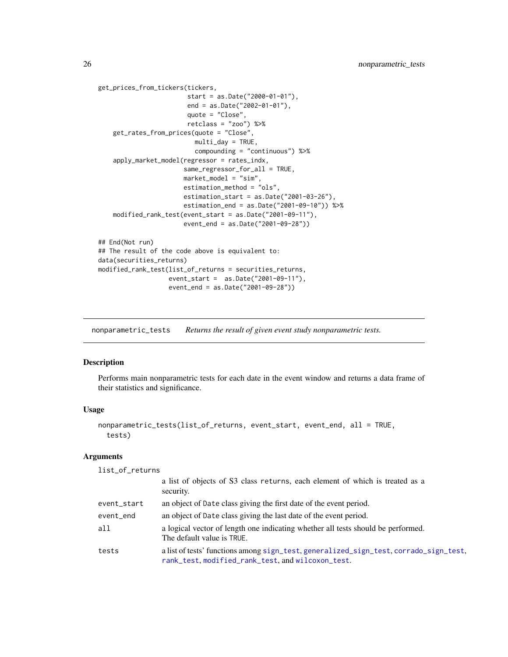```
get_prices_from_tickers(tickers,
                        start = as.Date("2000-01-01"),
                        end = as.Date("2002-01-01"),
                        quote = "Close",
                        retclass = "zoo") %>%
    get_rates_from_prices(quote = "Close",
                          multi_day = TRUE,
                          compounding = "continuous") %>%
    apply_market_model(regressor = rates_indx,
                       same_regressor_for_all = TRUE,
                       market_model = "sim",
                       estimation_method = "ols",
                       estimation_start = as.Date("2001-03-26"),
                       estimation_end = as.Date("2001-09-10")) %>%
    modified_rank_test(event_start = as.Date("2001-09-11"),
                       event_end = as.Date("2001-09-28"))
## End(Not run)
## The result of the code above is equivalent to:
data(securities_returns)
modified_rank_test(list_of_returns = securities_returns,
                   event_start = as.Date("2001-09-11"),
                   event_end = as.Date("2001-09-28"))
```
<span id="page-25-1"></span>nonparametric\_tests *Returns the result of given event study nonparametric tests.*

#### Description

Performs main nonparametric tests for each date in the event window and returns a data frame of their statistics and significance.

#### Usage

```
nonparametric_tests(list_of_returns, event_start, event_end, all = TRUE,
  tests)
```
#### Arguments

list\_of\_returns

|             | a list of objects of S3 class returns, each element of which is treated as a<br>security.                                                  |
|-------------|--------------------------------------------------------------------------------------------------------------------------------------------|
| event_start | an object of Date class giving the first date of the event period.                                                                         |
| event_end   | an object of Date class giving the last date of the event period.                                                                          |
| all         | a logical vector of length one indicating whether all tests should be performed.<br>The default value is TRUE.                             |
| tests       | a list of tests' functions among sign_test, generalized_sign_test, corrado_sign_test,<br>rank_test, modified_rank_test, and wilcoxon_test. |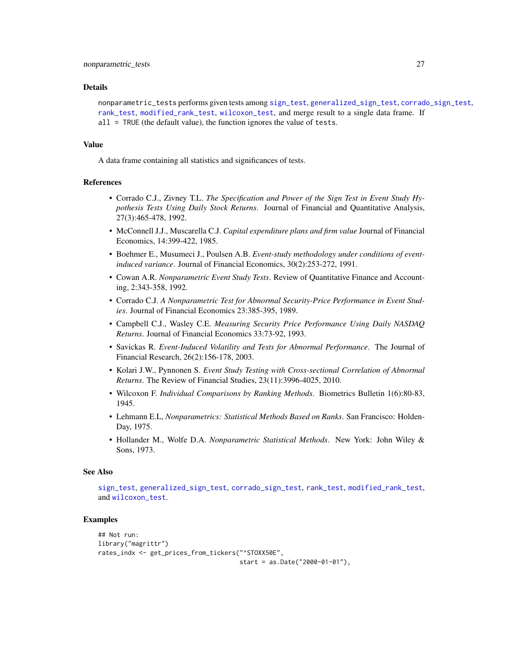#### <span id="page-26-0"></span>Details

nonparametric\_tests performs given tests among [sign\\_test](#page-39-1), [generalized\\_sign\\_test](#page-17-1), [corrado\\_sign\\_test](#page-15-1), [rank\\_test](#page-32-1), [modified\\_rank\\_test](#page-23-1), [wilcoxon\\_test](#page-42-1), and merge result to a single data frame. If all = TRUE (the default value), the function ignores the value of tests.

#### Value

A data frame containing all statistics and significances of tests.

#### References

- Corrado C.J., Zivney T.L. *The Specification and Power of the Sign Test in Event Study Hypothesis Tests Using Daily Stock Returns*. Journal of Financial and Quantitative Analysis, 27(3):465-478, 1992.
- McConnell J.J., Muscarella C.J. *Capital expenditure plans and firm value* Journal of Financial Economics, 14:399-422, 1985.
- Boehmer E., Musumeci J., Poulsen A.B. *Event-study methodology under conditions of eventinduced variance*. Journal of Financial Economics, 30(2):253-272, 1991.
- Cowan A.R. *Nonparametric Event Study Tests*. Review of Quantitative Finance and Accounting, 2:343-358, 1992.
- Corrado C.J. *A Nonparametric Test for Abnormal Security-Price Performance in Event Studies*. Journal of Financial Economics 23:385-395, 1989.
- Campbell C.J., Wasley C.E. *Measuring Security Price Performance Using Daily NASDAQ Returns*. Journal of Financial Economics 33:73-92, 1993.
- Savickas R. *Event-Induced Volatility and Tests for Abnormal Performance*. The Journal of Financial Research, 26(2):156-178, 2003.
- Kolari J.W., Pynnonen S. *Event Study Testing with Cross-sectional Correlation of Abnormal Returns*. The Review of Financial Studies, 23(11):3996-4025, 2010.
- Wilcoxon F. *Individual Comparisons by Ranking Methods*. Biometrics Bulletin 1(6):80-83, 1945.
- Lehmann E.L, *Nonparametrics: Statistical Methods Based on Ranks*. San Francisco: Holden-Day, 1975.
- Hollander M., Wolfe D.A. *Nonparametric Statistical Methods*. New York: John Wiley & Sons, 1973.

#### See Also

[sign\\_test](#page-39-1), [generalized\\_sign\\_test](#page-17-1), [corrado\\_sign\\_test](#page-15-1), [rank\\_test](#page-32-1), [modified\\_rank\\_test](#page-23-1), and [wilcoxon\\_test](#page-42-1).

```
## Not run:
library("magrittr")
rates_indx <- get_prices_from_tickers("^STOXX50E",
                                      start = as.Date("2000-01-01"),
```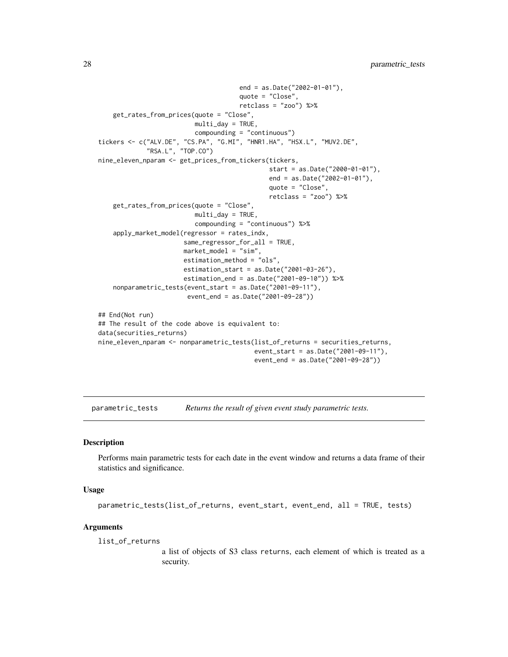```
end = as.Date("2002-01-01"),
                                      quote = "Close",
                                      retclass = "zoo") %>%
   get_rates_from_prices(quote = "Close",
                          multi_day = TRUE,
                          compounding = "continuous")
tickers <- c("ALV.DE", "CS.PA", "G.MI", "HNR1.HA", "HSX.L", "MUV2.DE",
             "RSA.L", "TOP.CO")
nine_eleven_nparam <- get_prices_from_tickers(tickers,
                                              start = as.Date("2000-01-01"),
                                              end = as.Date("2002-01-01"),
                                              quote = "Close",
                                              retclass = "zoo") %>%
    get_rates_from_prices(quote = "Close",
                          multi_day = TRUE,
                          compounding = "continuous") %>%
    apply_market_model(regressor = rates_indx,
                       same_regressor_for_all = TRUE,
                       market_model = "sim",
                       estimation_method = "ols",
                       estimation_start = as.Date("2001-03-26"),
                       estimation_end = as.Date("2001-09-10")) %>%
    nonparametric_tests(event_start = as.Date("2001-09-11"),
                        event_end = as.Date("2001-09-28"))
## End(Not run)
## The result of the code above is equivalent to:
data(securities_returns)
nine_eleven_nparam <- nonparametric_tests(list_of_returns = securities_returns,
                                          event_start = as.Date("2001-09-11"),
                                          event_end = as.Date("2001-09-28"))
```
<span id="page-27-1"></span>parametric\_tests *Returns the result of given event study parametric tests.*

#### Description

Performs main parametric tests for each date in the event window and returns a data frame of their statistics and significance.

#### Usage

```
parametric_tests(list_of_returns, event_start, event_end, all = TRUE, tests)
```
#### Arguments

list\_of\_returns

a list of objects of S3 class returns, each element of which is treated as a security.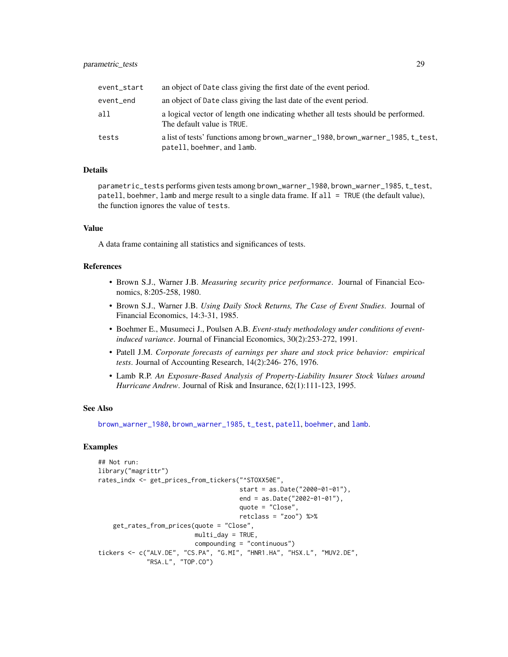<span id="page-28-0"></span>

| event_start | an object of Date class giving the first date of the event period.                                             |
|-------------|----------------------------------------------------------------------------------------------------------------|
| event_end   | an object of Date class giving the last date of the event period.                                              |
| all         | a logical vector of length one indicating whether all tests should be performed.<br>The default value is TRUE. |
| tests       | a list of tests' functions among brown_warner_1980, brown_warner_1985, t_test,<br>patell, boehmer, and lamb.   |

#### Details

parametric\_tests performs given tests among brown\_warner\_1980, brown\_warner\_1985, t\_test, patell, boehmer, lamb and merge result to a single data frame. If all = TRUE (the default value), the function ignores the value of tests.

#### Value

A data frame containing all statistics and significances of tests.

#### References

- Brown S.J., Warner J.B. *Measuring security price performance*. Journal of Financial Economics, 8:205-258, 1980.
- Brown S.J., Warner J.B. *Using Daily Stock Returns, The Case of Event Studies*. Journal of Financial Economics, 14:3-31, 1985.
- Boehmer E., Musumeci J., Poulsen A.B. *Event-study methodology under conditions of eventinduced variance*. Journal of Financial Economics, 30(2):253-272, 1991.
- Patell J.M. *Corporate forecasts of earnings per share and stock price behavior: empirical tests*. Journal of Accounting Research, 14(2):246- 276, 1976.
- Lamb R.P. *An Exposure-Based Analysis of Property-Liability Insurer Stock Values around Hurricane Andrew*. Journal of Risk and Insurance, 62(1):111-123, 1995.

#### See Also

[brown\\_warner\\_1980](#page-6-1), [brown\\_warner\\_1985](#page-8-1), [t\\_test](#page-41-1), [patell](#page-29-1), [boehmer](#page-5-1), and [lamb](#page-22-1).

```
## Not run:
library("magrittr")
rates_indx <- get_prices_from_tickers("^STOXX50E",
                                      start = as.Date("2000-01-01"),
                                      end = as.Date("2002-01-01"),
                                      quote = "Close",
                                      retclass = "zoo") %>%
    get_rates_from_prices(quote = "Close",
                          multi_day = TRUE,
                          compounding = "continuous")
tickers <- c("ALV.DE", "CS.PA", "G.MI", "HNR1.HA", "HSX.L", "MUV2.DE",
             "RSA.L", "TOP.CO")
```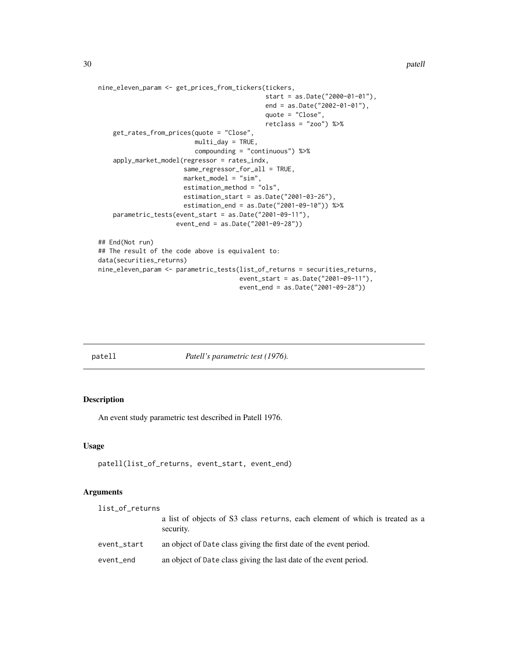```
nine_eleven_param <- get_prices_from_tickers(tickers,
                                             start = as.Date("2000-01-01"),
                                             end = as.Date("2002-01-01"),
                                             quote = "Close",
                                             retclass = "zoo") %>%
   get_rates_from_prices(quote = "Close",
                          multi_day = TRUE,
                          compounding = "continuous") %>%
    apply_market_model(regressor = rates_indx,
                       same_regressor_for_all = TRUE,
                       market_model = "sim",
                       estimation_method = "ols",
                       estimation_start = as.Date("2001-03-26"),
                       estimation_end = as.Date("2001-09-10")) %>%
   parametric_tests(event_start = as.Date("2001-09-11"),
                     event_end = as.Date("2001-09-28"))
## End(Not run)
## The result of the code above is equivalent to:
data(securities_returns)
nine_eleven_param <- parametric_tests(list_of_returns = securities_returns,
                                      event_start = as.Date("2001-09-11"),
                                      event_end = as.Date("2001-09-28"))
```
<span id="page-29-1"></span>patell *Patell's parametric test (1976).*

#### Description

An event study parametric test described in Patell 1976.

#### Usage

```
patell(list_of_returns, event_start, event_end)
```
#### Arguments

| list_of_returns |                                                                                           |
|-----------------|-------------------------------------------------------------------------------------------|
|                 | a list of objects of S3 class returns, each element of which is treated as a<br>security. |
| event_start     | an object of Date class giving the first date of the event period.                        |
| event_end       | an object of Date class giving the last date of the event period.                         |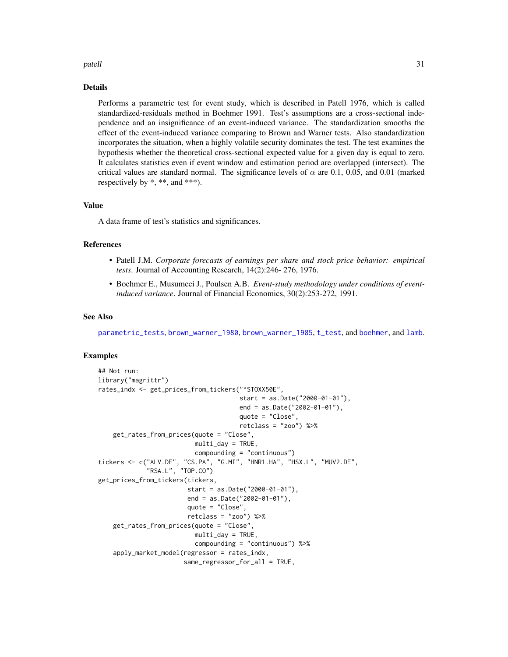#### <span id="page-30-0"></span>patell 31

#### Details

Performs a parametric test for event study, which is described in Patell 1976, which is called standardized-residuals method in Boehmer 1991. Test's assumptions are a cross-sectional independence and an insignificance of an event-induced variance. The standardization smooths the effect of the event-induced variance comparing to Brown and Warner tests. Also standardization incorporates the situation, when a highly volatile security dominates the test. The test examines the hypothesis whether the theoretical cross-sectional expected value for a given day is equal to zero. It calculates statistics even if event window and estimation period are overlapped (intersect). The critical values are standard normal. The significance levels of  $\alpha$  are 0.1, 0.05, and 0.01 (marked respectively by \*, \*\*, and \*\*\*).

#### Value

A data frame of test's statistics and significances.

#### References

- Patell J.M. *Corporate forecasts of earnings per share and stock price behavior: empirical tests*. Journal of Accounting Research, 14(2):246- 276, 1976.
- Boehmer E., Musumeci J., Poulsen A.B. *Event-study methodology under conditions of eventinduced variance*. Journal of Financial Economics, 30(2):253-272, 1991.

#### See Also

[parametric\\_tests](#page-27-1), [brown\\_warner\\_1980](#page-6-1), [brown\\_warner\\_1985](#page-8-1), [t\\_test](#page-41-1), and [boehmer](#page-5-1), and [lamb](#page-22-1).

```
## Not run:
library("magrittr")
rates_indx <- get_prices_from_tickers("^STOXX50E",
                                      start = as.Date("2000-01-01"),
                                      end = as.Date("2002-01-01"),
                                      quote = "Close",
                                      retclass = "zoo") %>%
    get_rates_from_prices(quote = "Close",
                          multi\_day = TRUE,
                          compounding = "continuous")
tickers <- c("ALV.DE", "CS.PA", "G.MI", "HNR1.HA", "HSX.L", "MUV2.DE",
             "RSA.L", "TOP.CO")
get_prices_from_tickers(tickers,
                        start = as.Date("2000-01-01"),
                        end = as.Date("2002-01-01"),
                        quote = "Close",
                        retclass = "zoo") %>%
    get_rates_from_prices(quote = "Close",
                          multi_day = TRUE,
                          compounding = "continuous") %>%
    apply_market_model(regressor = rates_indx,
                       same_regressor_for_all = TRUE,
```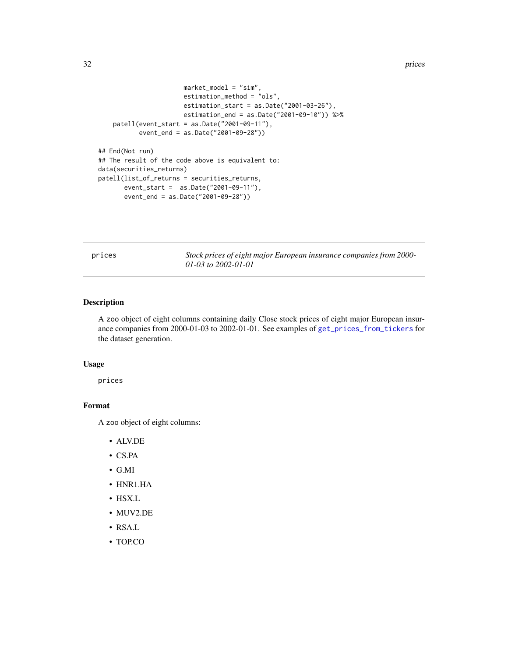#### <span id="page-31-0"></span>32 prices

```
market_model = "sim",
                       estimation_method = "ols",
                       estimation_start = as.Date("2001-03-26"),
                       estimation_end = as.Date("2001-09-10")) %>%
   patell(event_start = as.Date("2001-09-11"),
          event_end = as.Date("2001-09-28"))
## End(Not run)
## The result of the code above is equivalent to:
data(securities_returns)
patell(list_of_returns = securities_returns,
      event_start = as.Date("2001-09-11"),
      event_end = as.Date("2001-09-28"))
```
prices *Stock prices of eight major European insurance companies from 2000- 01-03 to 2002-01-01*

#### Description

A zoo object of eight columns containing daily Close stock prices of eight major European insurance companies from 2000-01-03 to 2002-01-01. See examples of [get\\_prices\\_from\\_tickers](#page-19-1) for the dataset generation.

#### Usage

prices

### Format

A zoo object of eight columns:

- ALV.DE
- CS.PA
- G.MI
- HNR1.HA
- HSX.L
- MUV2.DE
- RSA.L
- TOP.CO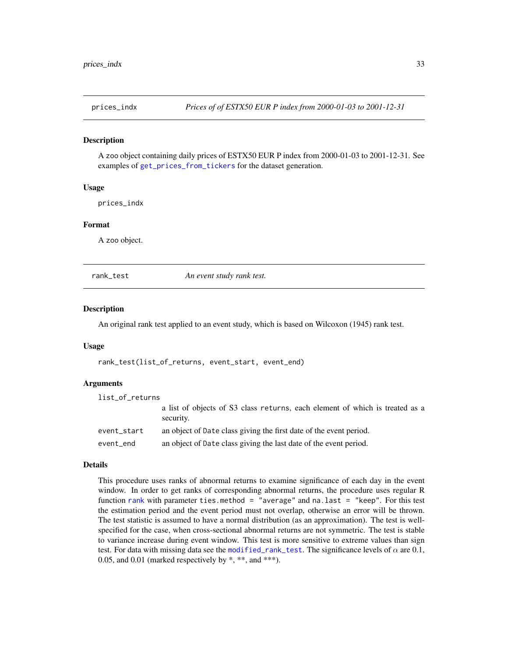<span id="page-32-0"></span>

#### Description

A zoo object containing daily prices of ESTX50 EUR P index from 2000-01-03 to 2001-12-31. See examples of [get\\_prices\\_from\\_tickers](#page-19-1) for the dataset generation.

#### Usage

prices\_indx

#### Format

A zoo object.

<span id="page-32-1"></span>

rank\_test *An event study rank test.*

#### Description

An original rank test applied to an event study, which is based on Wilcoxon (1945) rank test.

#### Usage

rank\_test(list\_of\_returns, event\_start, event\_end)

#### Arguments

| list_of_returns |                                                                                           |
|-----------------|-------------------------------------------------------------------------------------------|
|                 | a list of objects of S3 class returns, each element of which is treated as a<br>security. |
| event_start     | an object of Date class giving the first date of the event period.                        |
| event_end       | an object of Date class giving the last date of the event period.                         |

#### Details

This procedure uses ranks of abnormal returns to examine significance of each day in the event window. In order to get ranks of corresponding abnormal returns, the procedure uses regular R function [rank](#page-0-0) with parameter ties.method = "average" and na.last = "keep". For this test the estimation period and the event period must not overlap, otherwise an error will be thrown. The test statistic is assumed to have a normal distribution (as an approximation). The test is wellspecified for the case, when cross-sectional abnormal returns are not symmetric. The test is stable to variance increase during event window. This test is more sensitive to extreme values than sign test. For data with missing data see the [modified\\_rank\\_test](#page-23-1). The significance levels of  $\alpha$  are 0.1, 0.05, and 0.01 (marked respectively by  $*, **$ , and  $***$ ).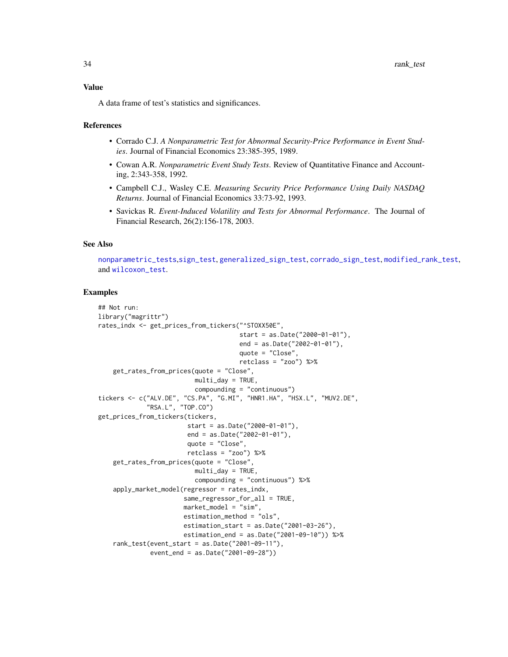#### <span id="page-33-0"></span>Value

A data frame of test's statistics and significances.

#### References

- Corrado C.J. *A Nonparametric Test for Abnormal Security-Price Performance in Event Studies*. Journal of Financial Economics 23:385-395, 1989.
- Cowan A.R. *Nonparametric Event Study Tests*. Review of Quantitative Finance and Accounting, 2:343-358, 1992.
- Campbell C.J., Wasley C.E. *Measuring Security Price Performance Using Daily NASDAQ Returns*. Journal of Financial Economics 33:73-92, 1993.
- Savickas R. *Event-Induced Volatility and Tests for Abnormal Performance*. The Journal of Financial Research, 26(2):156-178, 2003.

#### See Also

[nonparametric\\_tests](#page-25-1),[sign\\_test](#page-39-1), [generalized\\_sign\\_test](#page-17-1), [corrado\\_sign\\_test](#page-15-1), [modified\\_rank\\_test](#page-23-1), and [wilcoxon\\_test](#page-42-1).

```
## Not run:
library("magrittr")
rates_indx <- get_prices_from_tickers("^STOXX50E",
                                      start = as.Date("2000-01-01"),
                                      end = as.Date("2002-01-01"),
                                      quote = "Close",
                                      retclass = "zoo") %>%
   get_rates_from_prices(quote = "Close",
                          multi_day = TRUE,
                          compounding = "continuous")
tickers <- c("ALV.DE", "CS.PA", "G.MI", "HNR1.HA", "HSX.L", "MUV2.DE",
             "RSA.L", "TOP.CO")
get_prices_from_tickers(tickers,
                        start = as.Date("2000-01-01"),
                        end = as.Date("2002-01-01"),
                        quote = "Close",
                        retclass = "zoo") %>%
    get_rates_from_prices(quote = "Close",
                          multi_day = TRUE,
                          compounding = "continuous") %>%
    apply_market_model(regressor = rates_indx,
                       same_regressor_for_all = TRUE,
                       market_model = "sim",
                       estimation_method = "ols",
                       estimation_start = as.Date("2001-03-26"),
                       estimation_end = as.Date("2001-09-10")) %>%
    rank_test(event_start = as.Date("2001-09-11"),
              event_end = as.Date("2001-09-28"))
```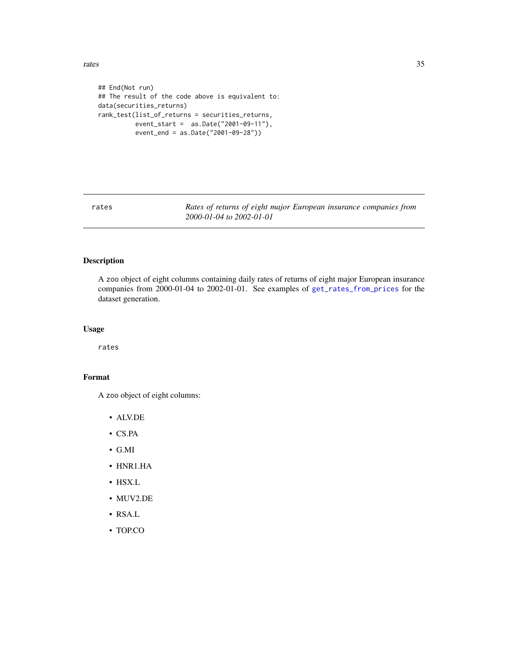<span id="page-34-0"></span>rates 35

```
## End(Not run)
## The result of the code above is equivalent to:
data(securities_returns)
rank_test(list_of_returns = securities_returns,
         event_start = as.Date("2001-09-11"),
          event_end = as.Date("2001-09-28"))
```
rates *Rates of returns of eight major European insurance companies from 2000-01-04 to 2002-01-01*

#### Description

A zoo object of eight columns containing daily rates of returns of eight major European insurance companies from 2000-01-04 to 2002-01-01. See examples of [get\\_rates\\_from\\_prices](#page-20-1) for the dataset generation.

#### Usage

rates

#### Format

A zoo object of eight columns:

- ALV.DE
- CS.PA
- G.MI
- HNR1.HA
- HSX.L
- MUV2.DE
- RSA.L
- TOP.CO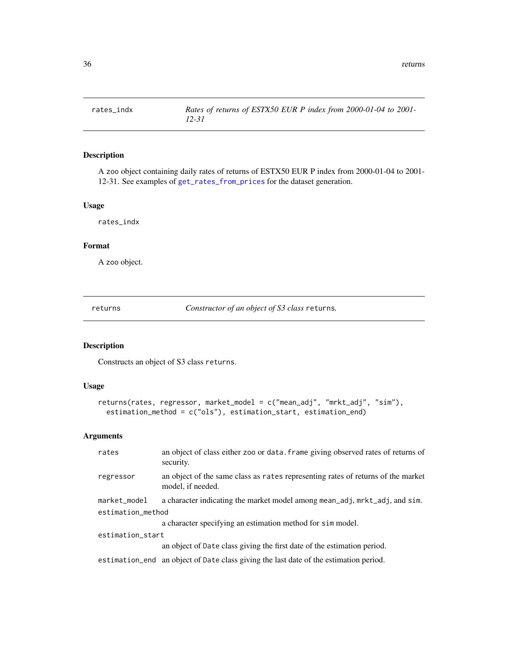<span id="page-35-0"></span>

#### Description

A zoo object containing daily rates of returns of ESTX50 EUR P index from 2000-01-04 to 2001- 12-31. See examples of [get\\_rates\\_from\\_prices](#page-20-1) for the dataset generation.

#### Usage

rates\_indx

#### Format

A zoo object.

<span id="page-35-1"></span>returns *Constructor of an object of S3 class* returns*.*

#### Description

Constructs an object of S3 class returns.

#### Usage

```
returns(rates, regressor, market_model = c("mean_adj", "mrkt_adj", "sim"),
 estimation_method = c("ols"), estimation_start, estimation_end)
```
#### Arguments

| rates             | an object of class either zoo or data. frame giving observed rates of returns of<br>security.         |
|-------------------|-------------------------------------------------------------------------------------------------------|
| regressor         | an object of the same class as rates representing rates of returns of the market<br>model, if needed. |
| market_model      | a character indicating the market model among mean_adj, mrkt_adj, and sim.                            |
| estimation_method |                                                                                                       |
|                   | a character specifying an estimation method for sim model.                                            |
| estimation_start  |                                                                                                       |
|                   | an object of Date class giving the first date of the estimation period.                               |
|                   | estimation_end an object of Date class giving the last date of the estimation period.                 |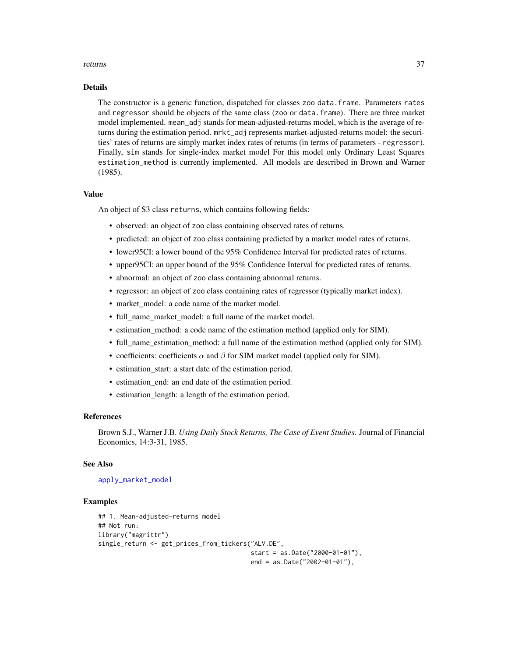#### <span id="page-36-0"></span>returns 37

#### Details

The constructor is a generic function, dispatched for classes zoo data. frame. Parameters rates and regressor should be objects of the same class (zoo or data.frame). There are three market model implemented. mean\_adj stands for mean-adjusted-returns model, which is the average of returns during the estimation period. mrkt\_adj represents market-adjusted-returns model: the securities' rates of returns are simply market index rates of returns (in terms of parameters - regressor). Finally, sim stands for single-index market model For this model only Ordinary Least Squares estimation\_method is currently implemented. All models are described in Brown and Warner (1985).

#### Value

An object of S3 class returns, which contains following fields:

- observed: an object of zoo class containing observed rates of returns.
- predicted: an object of zoo class containing predicted by a market model rates of returns.
- lower95CI: a lower bound of the 95% Confidence Interval for predicted rates of returns.
- upper95CI: an upper bound of the 95% Confidence Interval for predicted rates of returns.
- abnormal: an object of zoo class containing abnormal returns.
- regressor: an object of zoo class containing rates of regressor (typically market index).
- market\_model: a code name of the market model.
- full\_name\_market\_model: a full name of the market model.
- estimation\_method: a code name of the estimation method (applied only for SIM).
- full\_name\_estimation\_method: a full name of the estimation method (applied only for SIM).
- coefficients: coefficients  $\alpha$  and  $\beta$  for SIM market model (applied only for SIM).
- estimation\_start: a start date of the estimation period.
- estimation\_end: an end date of the estimation period.
- estimation\_length: a length of the estimation period.

#### References

Brown S.J., Warner J.B. *Using Daily Stock Returns, The Case of Event Studies*. Journal of Financial Economics, 14:3-31, 1985.

#### See Also

#### [apply\\_market\\_model](#page-2-1)

```
## 1. Mean-adjusted-returns model
## Not run:
library("magrittr")
single_return <- get_prices_from_tickers("ALV.DE",
                                         start = as.Date("2000-01-01"),
                                         end = as.Date("2002-01-01"),
```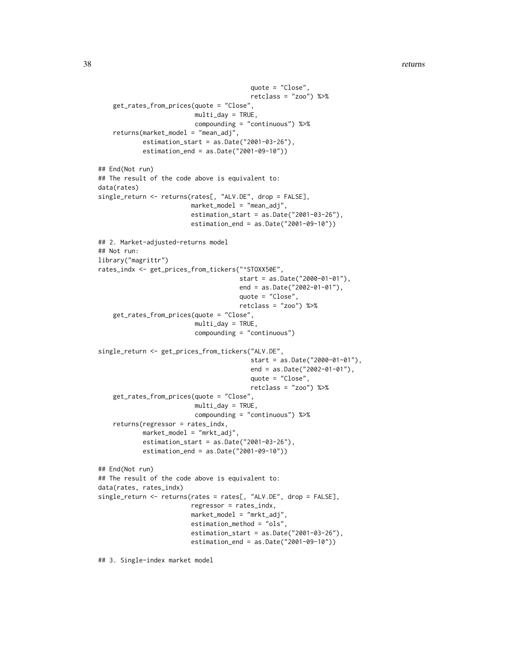38 returns

```
quote = "Close",
                                         retclass = "zoo") %>%
    get_rates_from_prices(quote = "Close",
                          multi_day = TRUE,
                          compounding = "continuous") %>%
    returns(market_model = "mean_adj",
            estimation_start = as.Date("2001-03-26"),
            estimation_end = as.Date("2001-09-10"))
## End(Not run)
## The result of the code above is equivalent to:
data(rates)
single_return <- returns(rates[, "ALV.DE", drop = FALSE],
                         market_model = "mean_adj",
                         estimation_start = as.Date("2001-03-26"),
                         estimation_end = as.Date("2001-09-10"))
## 2. Market-adjusted-returns model
## Not run:
library("magrittr")
rates_indx <- get_prices_from_tickers("^STOXX50E",
                                      start = as.Date("2000-01-01"),
                                      end = as.Date("2002-01-01"),
                                      quote = "Close",
                                      retclass = "zoo") %>%
    get_rates_from_prices(quote = "Close",
                          multi_day = TRUE,
                          compounding = "continuous")
single_return <- get_prices_from_tickers("ALV.DE",
                                         start = as.Date("2000-01-01"),
                                         end = as.Date("2002-01-01"),
                                         quote = "Close",
                                         retclass = "zoo") %>%
    get_rates_from_prices(quote = "Close",
                          multi_day = TRUE,
                          compounding = "continuous") %>%
    returns(regressor = rates_indx,
            market_model = "mrkt_adj",
            estimation_start = as.Date("2001-03-26"),
            estimation_end = as.Date("2001-09-10"))
## End(Not run)
## The result of the code above is equivalent to:
data(rates, rates_indx)
single_return <- returns(rates = rates[, "ALV.DE", drop = FALSE],
                         regressor = rates_indx,
                         market_model = "mrkt_adj",
                         estimation_method = "ols",
                         estimation_start = as.Date("2001-03-26"),
                         estimation_end = as.Date("2001-09-10"))
```
## 3. Single-index market model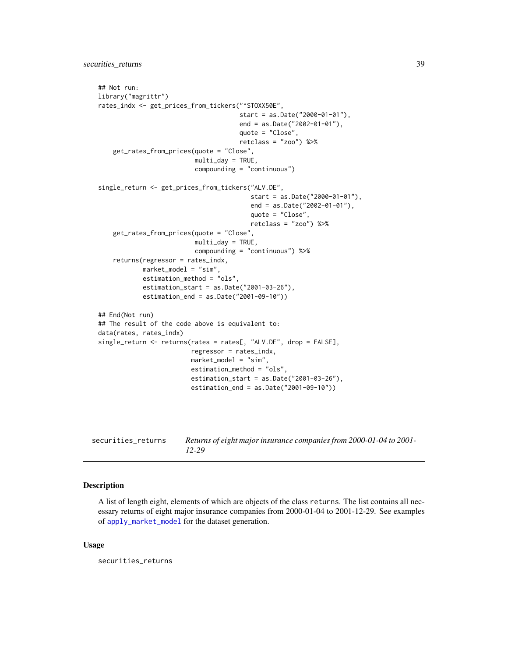```
## Not run:
library("magrittr")
rates_indx <- get_prices_from_tickers("^STOXX50E",
                                      start = as.Date("2000-01-01"),
                                      end = as.Date("2002-01-01"),
                                      quote = "Close",
                                      retclass = "zoo") %>%
    get_rates_from_prices(quote = "Close",
                          multi_day = TRUE,
                          compounding = "continuous")
single_return <- get_prices_from_tickers("ALV.DE",
                                         start = as.Date("2000-01-01"),
                                         end = as.Date("2002-01-01"),
                                         quote = "Close",
                                         retclass = "zoo") %>%
    get_rates_from_prices(quote = "Close",
                          multi_day = TRUE,
                          compounding = "continuous") %>%
    returns(regressor = rates_indx,
            market_model = "sim",
            estimation_method = "ols",
            estimation_start = as.Date("2001-03-26"),
            estimation_end = as.Date("2001-09-10"))
## End(Not run)
## The result of the code above is equivalent to:
data(rates, rates_indx)
single_return <- returns(rates = rates[, "ALV.DE", drop = FALSE],
                         regressor = rates_indx,
                         market_model = "sim",
                         estimation_method = "ols",
                         estimation_start = as.Date("2001-03-26"),
                         estimation_end = as.Date("2001-09-10"))
```

| securities returns | Returns of eight major insurance companies from 2000-01-04 to 2001- |
|--------------------|---------------------------------------------------------------------|
|                    | $12 - 29$                                                           |

#### Description

A list of length eight, elements of which are objects of the class returns. The list contains all necessary returns of eight major insurance companies from 2000-01-04 to 2001-12-29. See examples of [apply\\_market\\_model](#page-2-1) for the dataset generation.

#### Usage

securities\_returns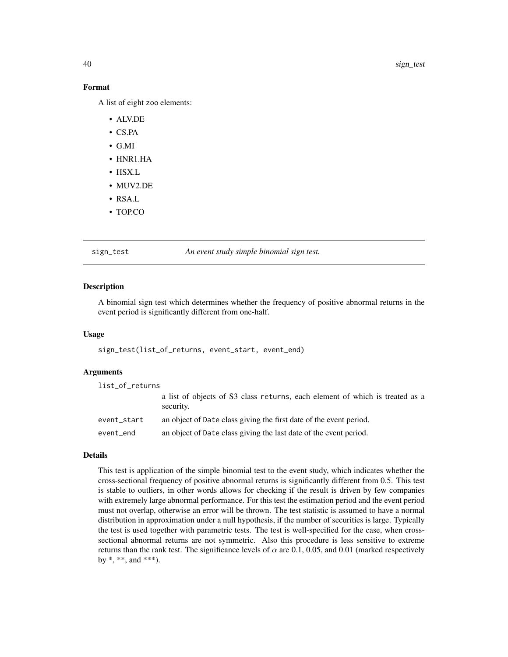#### Format

A list of eight zoo elements:

- ALV.DE
- CS.PA
- G.MI
- HNR1.HA
- HSX.L
- MUV2.DE
- RSA.L
- TOP.CO

#### <span id="page-39-1"></span>sign\_test *An event study simple binomial sign test.*

#### Description

A binomial sign test which determines whether the frequency of positive abnormal returns in the event period is significantly different from one-half.

#### Usage

sign\_test(list\_of\_returns, event\_start, event\_end)

#### Arguments

| list_of_returns |                                                                                           |
|-----------------|-------------------------------------------------------------------------------------------|
|                 | a list of objects of S3 class returns, each element of which is treated as a<br>security. |
| event_start     | an object of Date class giving the first date of the event period.                        |
| event_end       | an object of Date class giving the last date of the event period.                         |

#### Details

This test is application of the simple binomial test to the event study, which indicates whether the cross-sectional frequency of positive abnormal returns is significantly different from 0.5. This test is stable to outliers, in other words allows for checking if the result is driven by few companies with extremely large abnormal performance. For this test the estimation period and the event period must not overlap, otherwise an error will be thrown. The test statistic is assumed to have a normal distribution in approximation under a null hypothesis, if the number of securities is large. Typically the test is used together with parametric tests. The test is well-specified for the case, when crosssectional abnormal returns are not symmetric. Also this procedure is less sensitive to extreme returns than the rank test. The significance levels of  $\alpha$  are 0.1, 0.05, and 0.01 (marked respectively by  $*, **$ , and  $***$ ).

<span id="page-39-0"></span>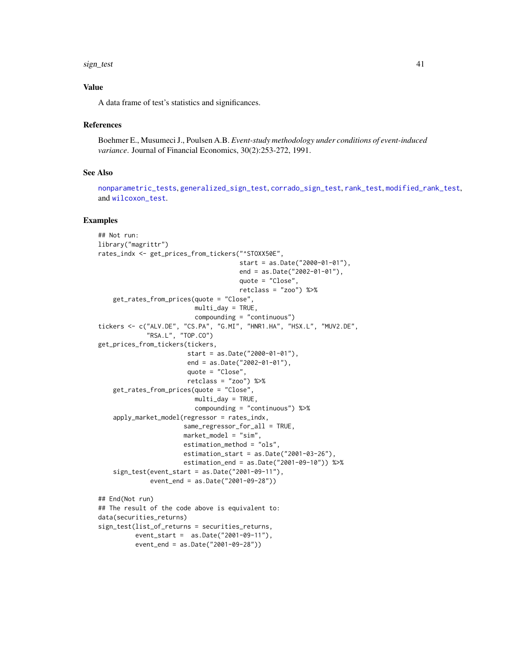#### <span id="page-40-0"></span>sign\_test 41

#### Value

A data frame of test's statistics and significances.

#### References

Boehmer E., Musumeci J., Poulsen A.B. *Event-study methodology under conditions of event-induced variance*. Journal of Financial Economics, 30(2):253-272, 1991.

#### See Also

[nonparametric\\_tests](#page-25-1), [generalized\\_sign\\_test](#page-17-1), [corrado\\_sign\\_test](#page-15-1), [rank\\_test](#page-32-1), [modified\\_rank\\_test](#page-23-1), and [wilcoxon\\_test](#page-42-1).

```
## Not run:
library("magrittr")
rates_indx <- get_prices_from_tickers("^STOXX50E",
                                      start = as.Date("2000-01-01"),
                                      end = as.Date("2002-01-01"),
                                      quote = "Close",
                                      retclass = "zoo") %>%
   get_rates_from_prices(quote = "Close",
                          multi_day = TRUE,
                          compounding = "continuous")
tickers <- c("ALV.DE", "CS.PA", "G.MI", "HNR1.HA", "HSX.L", "MUV2.DE",
             "RSA.L", "TOP.CO")
get_prices_from_tickers(tickers,
                        start = as.Date("2000-01-01"),
                        end = as.Date("2002-01-01"),
                        quote = "Close",
                        retclass = "zoo") %>%
    get_rates_from_prices(quote = "Close",
                          multi_day = TRUE,
                          compounding = "continuous") %>%
    apply_market_model(regressor = rates_indx,
                       same_regressor_for_all = TRUE,
                       market_model = "sim",
                       estimation_method = "ols",
                       estimation_start = as.Date("2001-03-26"),
                       estimation_end = as.Date("2001-09-10")) %>%
    sign_test(event_start = as.Date("2001-09-11"),
              event_end = as.Date("2001-09-28"))
## End(Not run)
## The result of the code above is equivalent to:
data(securities_returns)
sign_test(list_of_returns = securities_returns,
         event_start = as.Date("2001-09-11"),
          event_end = as.Date("2001-09-28"))
```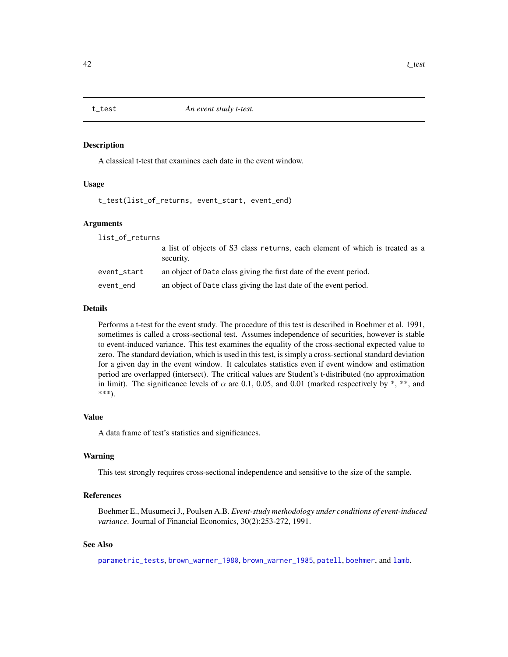<span id="page-41-1"></span><span id="page-41-0"></span>

#### Description

A classical t-test that examines each date in the event window.

#### Usage

t\_test(list\_of\_returns, event\_start, event\_end)

#### Arguments

| list_of_returns |                                                                                           |
|-----------------|-------------------------------------------------------------------------------------------|
|                 | a list of objects of S3 class returns, each element of which is treated as a<br>security. |
| event_start     | an object of Date class giving the first date of the event period.                        |
| event_end       | an object of Date class giving the last date of the event period.                         |
|                 |                                                                                           |

#### Details

Performs a t-test for the event study. The procedure of this test is described in Boehmer et al. 1991, sometimes is called a cross-sectional test. Assumes independence of securities, however is stable to event-induced variance. This test examines the equality of the cross-sectional expected value to zero. The standard deviation, which is used in this test, is simply a cross-sectional standard deviation for a given day in the event window. It calculates statistics even if event window and estimation period are overlapped (intersect). The critical values are Student's t-distributed (no approximation in limit). The significance levels of  $\alpha$  are 0.1, 0.05, and 0.01 (marked respectively by \*, \*\*, and \*\*\*).

#### Value

A data frame of test's statistics and significances.

#### Warning

This test strongly requires cross-sectional independence and sensitive to the size of the sample.

#### References

Boehmer E., Musumeci J., Poulsen A.B. *Event-study methodology under conditions of event-induced variance*. Journal of Financial Economics, 30(2):253-272, 1991.

#### See Also

[parametric\\_tests](#page-27-1), [brown\\_warner\\_1980](#page-6-1), [brown\\_warner\\_1985](#page-8-1), [patell](#page-29-1), [boehmer](#page-5-1), and [lamb](#page-22-1).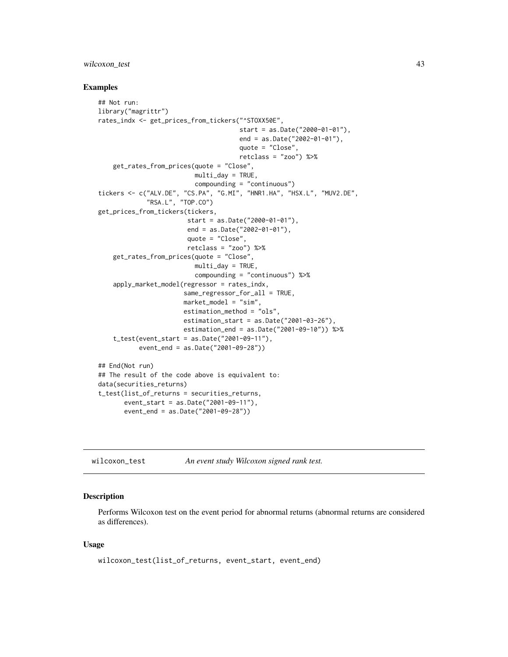#### <span id="page-42-0"></span>wilcoxon\_test 43

#### Examples

```
## Not run:
library("magrittr")
rates_indx <- get_prices_from_tickers("^STOXX50E",
                                      start = as.Date("2000-01-01"),
                                      end = as.Date("2002-01-01"),
                                      quote = "Close",
                                      retclass = "zoo") %>%
    get_rates_from_prices(quote = "Close",
                          multi_day = TRUE,
                          compounding = "continuous")
tickers <- c("ALV.DE", "CS.PA", "G.MI", "HNR1.HA", "HSX.L", "MUV2.DE",
             "RSA.L", "TOP.CO")
get_prices_from_tickers(tickers,
                        start = as.Date("2000-01-01"),
                        end = as.Date("2002-01-01"),
                        quote = "Close",
                        retclass = "zoo") %>%
    get_rates_from_prices(quote = "Close",
                          multi_day = TRUE,
                          compounding = "continuous") %>%
    apply_market_model(regressor = rates_indx,
                       same_regressor_for_all = TRUE,
                       market_model = "sim",
                       estimation_method = "ols",
                       estimation_start = as.Date("2001-03-26"),
                       estimation_end = as.Date("2001-09-10")) %>%
    t_test(event_start = as.Date("2001-09-11"),
           event_end = as.Date("2001-09-28"))
## End(Not run)
## The result of the code above is equivalent to:
data(securities_returns)
t_test(list_of_returns = securities_returns,
```

```
event_start = as.Date("2001-09-11"),
event_end = as.Date("2001-09-28"))
```
<span id="page-42-1"></span>wilcoxon\_test *An event study Wilcoxon signed rank test.*

#### Description

Performs Wilcoxon test on the event period for abnormal returns (abnormal returns are considered as differences).

#### Usage

```
wilcoxon_test(list_of_returns, event_start, event_end)
```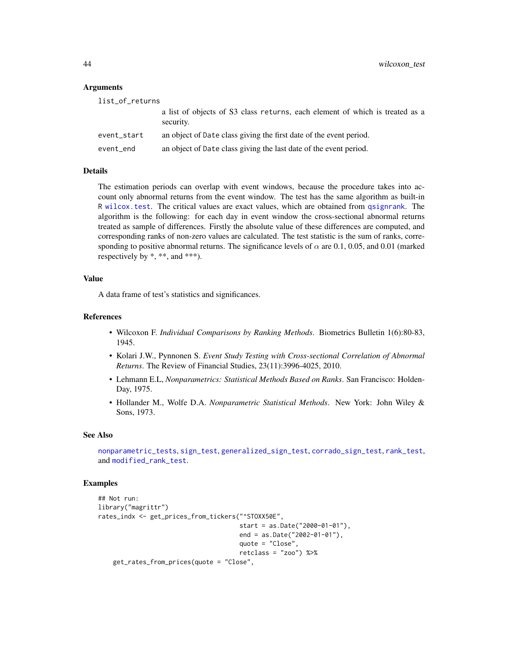#### Arguments

| list_of_returns |                                                                                           |
|-----------------|-------------------------------------------------------------------------------------------|
|                 | a list of objects of S3 class returns, each element of which is treated as a<br>security. |
| event_start     | an object of Date class giving the first date of the event period.                        |
| event_end       | an object of Date class giving the last date of the event period.                         |

#### Details

The estimation periods can overlap with event windows, because the procedure takes into account only abnormal returns from the event window. The test has the same algorithm as built-in R [wilcox.test](#page-0-0). The critical values are exact values, which are obtained from [qsignrank](#page-0-0). The algorithm is the following: for each day in event window the cross-sectional abnormal returns treated as sample of differences. Firstly the absolute value of these differences are computed, and corresponding ranks of non-zero values are calculated. The test statistic is the sum of ranks, corresponding to positive abnormal returns. The significance levels of  $\alpha$  are 0.1, 0.05, and 0.01 (marked respectively by  $*, **$ , and  $***$ ).

#### Value

A data frame of test's statistics and significances.

#### References

- Wilcoxon F. *Individual Comparisons by Ranking Methods*. Biometrics Bulletin 1(6):80-83, 1945.
- Kolari J.W., Pynnonen S. *Event Study Testing with Cross-sectional Correlation of Abnormal Returns*. The Review of Financial Studies, 23(11):3996-4025, 2010.
- Lehmann E.L, *Nonparametrics: Statistical Methods Based on Ranks*. San Francisco: Holden-Day, 1975.
- Hollander M., Wolfe D.A. *Nonparametric Statistical Methods*. New York: John Wiley & Sons, 1973.

#### See Also

[nonparametric\\_tests](#page-25-1), [sign\\_test](#page-39-1), [generalized\\_sign\\_test](#page-17-1), [corrado\\_sign\\_test](#page-15-1), [rank\\_test](#page-32-1), and [modified\\_rank\\_test](#page-23-1).

```
## Not run:
library("magrittr")
rates_indx <- get_prices_from_tickers("^STOXX50E",
                                      start = as.Date("2000-01-01"),
                                      end = as.Date("2002-01-01"),
                                      quote = "Close",
                                      retclass = "zoo") %>%
    get_rates_from_prices(quote = "Close",
```
<span id="page-43-0"></span>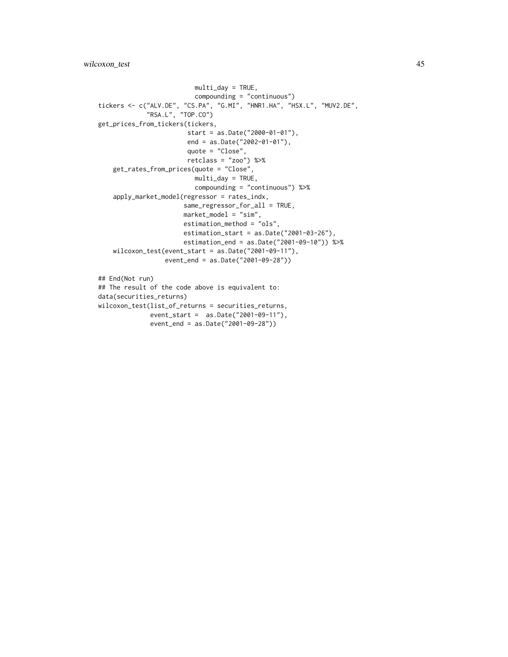wilcoxon\_test 45

```
multi_day = TRUE,
                         compounding = "continuous")
tickers <- c("ALV.DE", "CS.PA", "G.MI", "HNR1.HA", "HSX.L", "MUV2.DE",
             "RSA.L", "TOP.CO")
get_prices_from_tickers(tickers,
                        start = as.Date("2000-01-01"),
                        end = as.Date("2002-01-01"),
                        quote = "Close",
                        retclass = "zoo") %>%
   get_rates_from_prices(quote = "Close",
                         multi_day = TRUE,
                         compounding = "continuous") %>%
    apply_market_model(regressor = rates_indx,
                       same_regressor_for_all = TRUE,
                       market_model = "sim",
                       estimation_method = "ols",
                       estimation_start = as.Date("2001-03-26"),
                       estimation_end = as.Date("2001-09-10")) %>%
    wilcoxon_test(event_start = as.Date("2001-09-11"),
                  event_end = as.Date("2001-09-28"))
## End(Not run)
## The result of the code above is equivalent to:
data(securities_returns)
wilcoxon_test(list_of_returns = securities_returns,
              event_start = as.Date("2001-09-11"),
              event_end = as.Date("2001-09-28"))
```